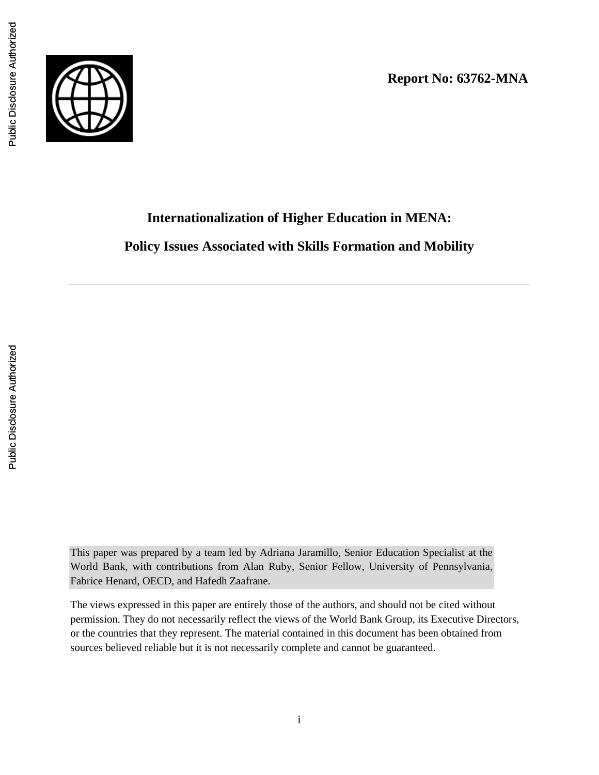

**Report No: 63762-MNA**

# **Internationalization of Higher Education in MENA:**

**Policy Issues Associated with Skills Formation and Mobility**

This paper was prepared by a team led by Adriana Jaramillo, Senior Education Specialist at the World Bank, with contributions from Alan Ruby, Senior Fellow, University of Pennsylvania, Fabrice Henard, OECD, and Hafedh Zaafrane.

The views expressed in this paper are entirely those of the authors, and should not be cited without permission. They do not necessarily reflect the views of the World Bank Group, its Executive Directors, or the countries that they represent. The material contained in this document has been obtained from sources believed reliable but it is not necessarily complete and cannot be guaranteed.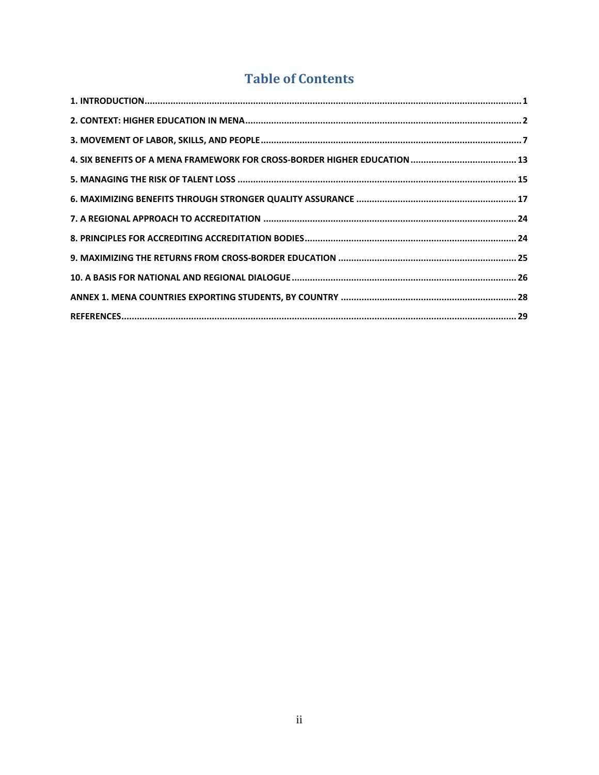# **Table of Contents**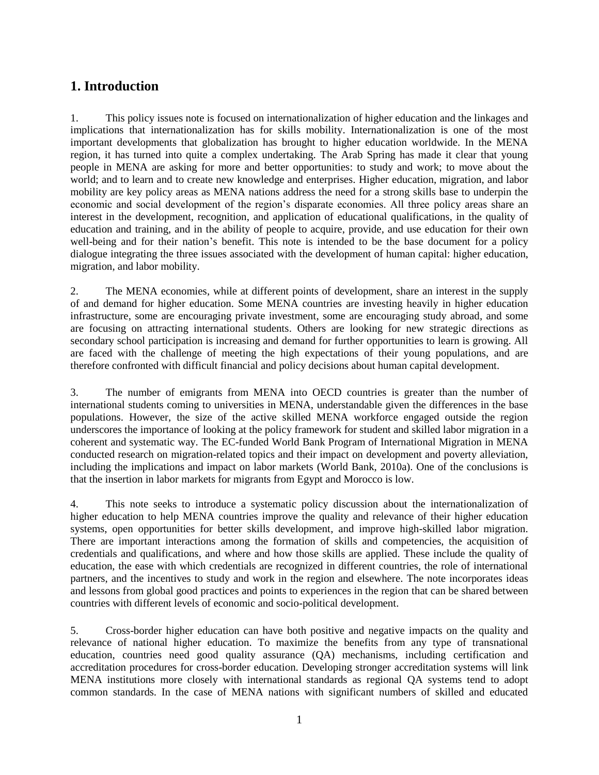## <span id="page-2-0"></span>**1. Introduction**

1. This policy issues note is focused on internationalization of higher education and the linkages and implications that internationalization has for skills mobility. Internationalization is one of the most important developments that globalization has brought to higher education worldwide. In the MENA region, it has turned into quite a complex undertaking. The Arab Spring has made it clear that young people in MENA are asking for more and better opportunities: to study and work; to move about the world; and to learn and to create new knowledge and enterprises. Higher education, migration, and labor mobility are key policy areas as MENA nations address the need for a strong skills base to underpin the economic and social development of the region's disparate economies. All three policy areas share an interest in the development, recognition, and application of educational qualifications, in the quality of education and training, and in the ability of people to acquire, provide, and use education for their own well-being and for their nation's benefit. This note is intended to be the base document for a policy dialogue integrating the three issues associated with the development of human capital: higher education, migration, and labor mobility.

2. The MENA economies, while at different points of development, share an interest in the supply of and demand for higher education. Some MENA countries are investing heavily in higher education infrastructure, some are encouraging private investment, some are encouraging study abroad, and some are focusing on attracting international students. Others are looking for new strategic directions as secondary school participation is increasing and demand for further opportunities to learn is growing. All are faced with the challenge of meeting the high expectations of their young populations, and are therefore confronted with difficult financial and policy decisions about human capital development.

3. The number of emigrants from MENA into OECD countries is greater than the number of international students coming to universities in MENA, understandable given the differences in the base populations. However, the size of the active skilled MENA workforce engaged outside the region underscores the importance of looking at the policy framework for student and skilled labor migration in a coherent and systematic way. The EC-funded World Bank Program of International Migration in MENA conducted research on migration-related topics and their impact on development and poverty alleviation, including the implications and impact on labor markets (World Bank, 2010a). One of the conclusions is that the insertion in labor markets for migrants from Egypt and Morocco is low.

4. This note seeks to introduce a systematic policy discussion about the internationalization of higher education to help MENA countries improve the quality and relevance of their higher education systems, open opportunities for better skills development, and improve high-skilled labor migration. There are important interactions among the formation of skills and competencies, the acquisition of credentials and qualifications, and where and how those skills are applied. These include the quality of education, the ease with which credentials are recognized in different countries, the role of international partners, and the incentives to study and work in the region and elsewhere. The note incorporates ideas and lessons from global good practices and points to experiences in the region that can be shared between countries with different levels of economic and socio-political development.

5. Cross-border higher education can have both positive and negative impacts on the quality and relevance of national higher education. To maximize the benefits from any type of transnational education, countries need good quality assurance (QA) mechanisms, including certification and accreditation procedures for cross-border education. Developing stronger accreditation systems will link MENA institutions more closely with international standards as regional QA systems tend to adopt common standards. In the case of MENA nations with significant numbers of skilled and educated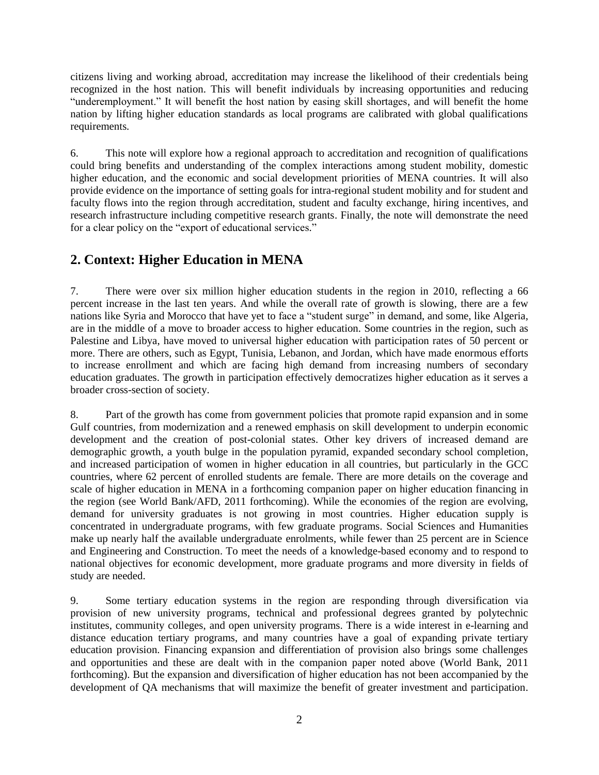citizens living and working abroad, accreditation may increase the likelihood of their credentials being recognized in the host nation. This will benefit individuals by increasing opportunities and reducing "underemployment." It will benefit the host nation by easing skill shortages, and will benefit the home nation by lifting higher education standards as local programs are calibrated with global qualifications requirements.

6. This note will explore how a regional approach to accreditation and recognition of qualifications could bring benefits and understanding of the complex interactions among student mobility, domestic higher education, and the economic and social development priorities of MENA countries. It will also provide evidence on the importance of setting goals for intra-regional student mobility and for student and faculty flows into the region through accreditation, student and faculty exchange, hiring incentives, and research infrastructure including competitive research grants. Finally, the note will demonstrate the need for a clear policy on the "export of educational services."

## <span id="page-3-0"></span>**2. Context: Higher Education in MENA**

7. There were over six million higher education students in the region in 2010, reflecting a 66 percent increase in the last ten years. And while the overall rate of growth is slowing, there are a few nations like Syria and Morocco that have yet to face a "student surge" in demand, and some, like Algeria, are in the middle of a move to broader access to higher education. Some countries in the region, such as Palestine and Libya, have moved to universal higher education with participation rates of 50 percent or more. There are others, such as Egypt, Tunisia, Lebanon, and Jordan, which have made enormous efforts to increase enrollment and which are facing high demand from increasing numbers of secondary education graduates. The growth in participation effectively democratizes higher education as it serves a broader cross-section of society.

8. Part of the growth has come from government policies that promote rapid expansion and in some Gulf countries, from modernization and a renewed emphasis on skill development to underpin economic development and the creation of post-colonial states. Other key drivers of increased demand are demographic growth, a youth bulge in the population pyramid, expanded secondary school completion, and increased participation of women in higher education in all countries, but particularly in the GCC countries, where 62 percent of enrolled students are female. There are more details on the coverage and scale of higher education in MENA in a forthcoming companion paper on higher education financing in the region (see World Bank/AFD, 2011 forthcoming). While the economies of the region are evolving, demand for university graduates is not growing in most countries. Higher education supply is concentrated in undergraduate programs, with few graduate programs. Social Sciences and Humanities make up nearly half the available undergraduate enrolments, while fewer than 25 percent are in Science and Engineering and Construction. To meet the needs of a knowledge-based economy and to respond to national objectives for economic development, more graduate programs and more diversity in fields of study are needed.

9. Some tertiary education systems in the region are responding through diversification via provision of new university programs, technical and professional degrees granted by polytechnic institutes, community colleges, and open university programs. There is a wide interest in e-learning and distance education tertiary programs, and many countries have a goal of expanding private tertiary education provision. Financing expansion and differentiation of provision also brings some challenges and opportunities and these are dealt with in the companion paper noted above (World Bank, 2011 forthcoming). But the expansion and diversification of higher education has not been accompanied by the development of QA mechanisms that will maximize the benefit of greater investment and participation.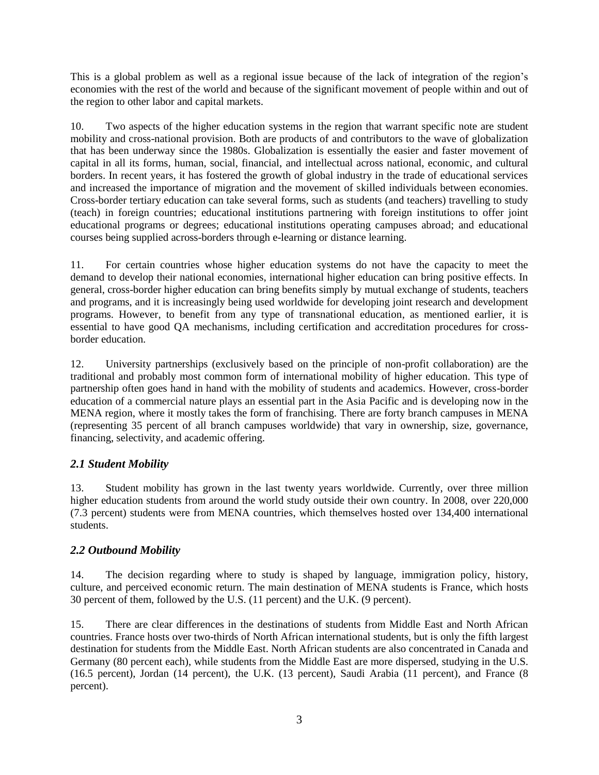This is a global problem as well as a regional issue because of the lack of integration of the region's economies with the rest of the world and because of the significant movement of people within and out of the region to other labor and capital markets.

10. Two aspects of the higher education systems in the region that warrant specific note are student mobility and cross-national provision. Both are products of and contributors to the wave of globalization that has been underway since the 1980s. Globalization is essentially the easier and faster movement of capital in all its forms, human, social, financial, and intellectual across national, economic, and cultural borders. In recent years, it has fostered the growth of global industry in the trade of educational services and increased the importance of migration and the movement of skilled individuals between economies. Cross-border tertiary education can take several forms, such as students (and teachers) travelling to study (teach) in foreign countries; educational institutions partnering with foreign institutions to offer joint educational programs or degrees; educational institutions operating campuses abroad; and educational courses being supplied across-borders through e-learning or distance learning.

11. For certain countries whose higher education systems do not have the capacity to meet the demand to develop their national economies, international higher education can bring positive effects. In general, cross-border higher education can bring benefits simply by mutual exchange of students, teachers and programs, and it is increasingly being used worldwide for developing joint research and development programs. However, to benefit from any type of transnational education, as mentioned earlier, it is essential to have good QA mechanisms, including certification and accreditation procedures for crossborder education.

12. University partnerships (exclusively based on the principle of non-profit collaboration) are the traditional and probably most common form of international mobility of higher education. This type of partnership often goes hand in hand with the mobility of students and academics. However, cross-border education of a commercial nature plays an essential part in the Asia Pacific and is developing now in the MENA region, where it mostly takes the form of franchising. There are forty branch campuses in MENA (representing 35 percent of all branch campuses worldwide) that vary in ownership, size, governance, financing, selectivity, and academic offering.

### *2.1 Student Mobility*

13. Student mobility has grown in the last twenty years worldwide. Currently, over three million higher education students from around the world study outside their own country. In 2008, over 220,000 (7.3 percent) students were from MENA countries, which themselves hosted over 134,400 international students.

### *2.2 Outbound Mobility*

14. The decision regarding where to study is shaped by language, immigration policy, history, culture, and perceived economic return. The main destination of MENA students is France, which hosts 30 percent of them, followed by the U.S. (11 percent) and the U.K. (9 percent).

15. There are clear differences in the destinations of students from Middle East and North African countries. France hosts over two-thirds of North African international students, but is only the fifth largest destination for students from the Middle East. North African students are also concentrated in Canada and Germany (80 percent each), while students from the Middle East are more dispersed, studying in the U.S. (16.5 percent), Jordan (14 percent), the U.K. (13 percent), Saudi Arabia (11 percent), and France (8 percent).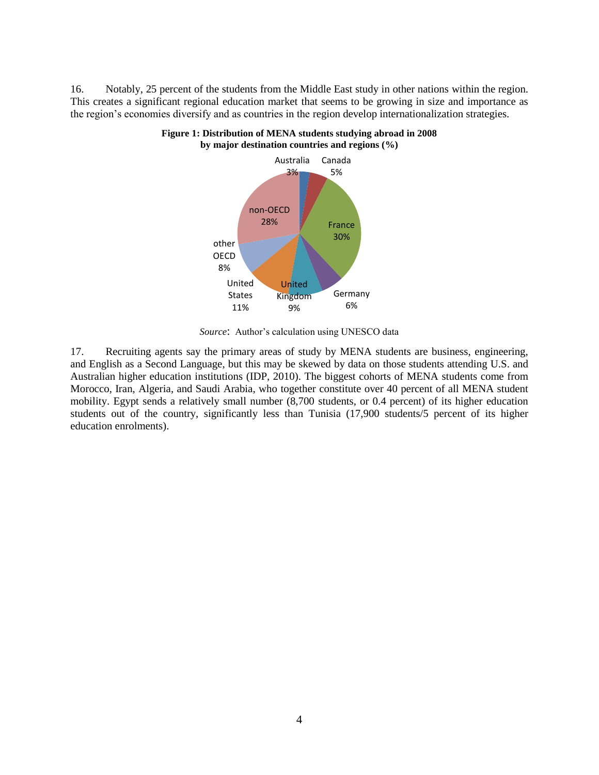16. Notably, 25 percent of the students from the Middle East study in other nations within the region. This creates a significant regional education market that seems to be growing in size and importance as the region"s economies diversify and as countries in the region develop internationalization strategies.



#### **Figure 1: Distribution of MENA students studying abroad in 2008 by major destination countries and regions (%)**

Source: Author's calculation using UNESCO data

17. Recruiting agents say the primary areas of study by MENA students are business, engineering, and English as a Second Language, but this may be skewed by data on those students attending U.S. and Australian higher education institutions (IDP, 2010). The biggest cohorts of MENA students come from Morocco, Iran, Algeria, and Saudi Arabia, who together constitute over 40 percent of all MENA student mobility. Egypt sends a relatively small number (8,700 students, or 0.4 percent) of its higher education students out of the country, significantly less than Tunisia (17,900 students/5 percent of its higher education enrolments).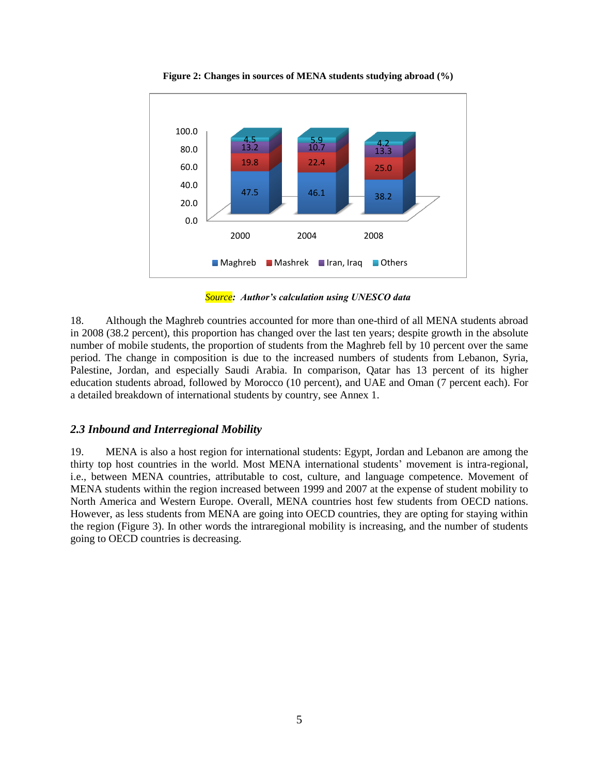

**Figure 2: Changes in sources of MENA students studying abroad (%)**

*Source: Author's calculation using UNESCO data*

18. Although the Maghreb countries accounted for more than one-third of all MENA students abroad in 2008 (38.2 percent), this proportion has changed over the last ten years; despite growth in the absolute number of mobile students, the proportion of students from the Maghreb fell by 10 percent over the same period. The change in composition is due to the increased numbers of students from Lebanon, Syria, Palestine, Jordan, and especially Saudi Arabia. In comparison, Qatar has 13 percent of its higher education students abroad, followed by Morocco (10 percent), and UAE and Oman (7 percent each). For a detailed breakdown of international students by country, see Annex 1.

#### *2.3 Inbound and Interregional Mobility*

19. MENA is also a host region for international students: Egypt, Jordan and Lebanon are among the thirty top host countries in the world. Most MENA international students' movement is intra-regional, i.e., between MENA countries, attributable to cost, culture, and language competence. Movement of MENA students within the region increased between 1999 and 2007 at the expense of student mobility to North America and Western Europe. Overall, MENA countries host few students from OECD nations. However, as less students from MENA are going into OECD countries, they are opting for staying within the region (Figure 3). In other words the intraregional mobility is increasing, and the number of students going to OECD countries is decreasing.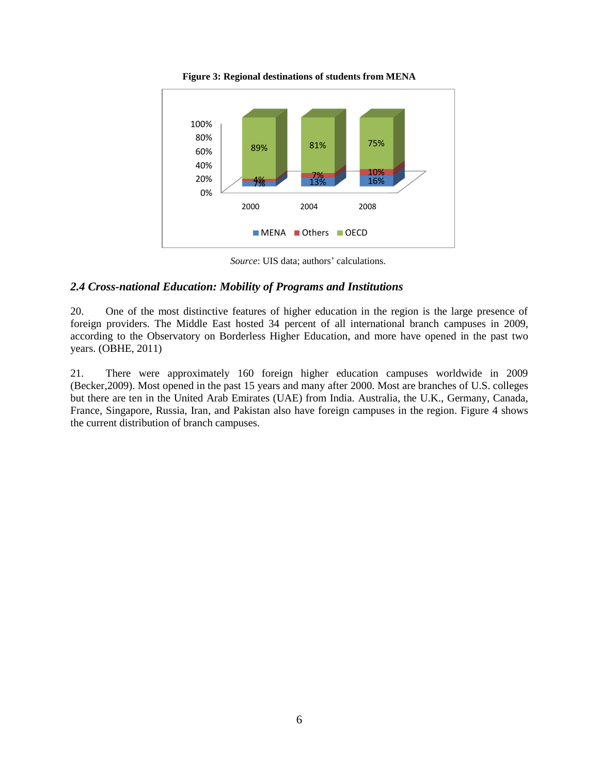

**Figure 3: Regional destinations of students from MENA** 

*Source*: UIS data; authors' calculations.

#### *2.4 Cross-national Education: Mobility of Programs and Institutions*

20. One of the most distinctive features of higher education in the region is the large presence of foreign providers. The Middle East hosted 34 percent of all international branch campuses in 2009, according to the Observatory on Borderless Higher Education, and more have opened in the past two years. (OBHE, 2011)

21. There were approximately 160 foreign higher education campuses worldwide in 2009 (Becker,2009). Most opened in the past 15 years and many after 2000. Most are branches of U.S. colleges but there are ten in the United Arab Emirates (UAE) from India. Australia, the U.K., Germany, Canada, France, Singapore, Russia, Iran, and Pakistan also have foreign campuses in the region. Figure 4 shows the current distribution of branch campuses.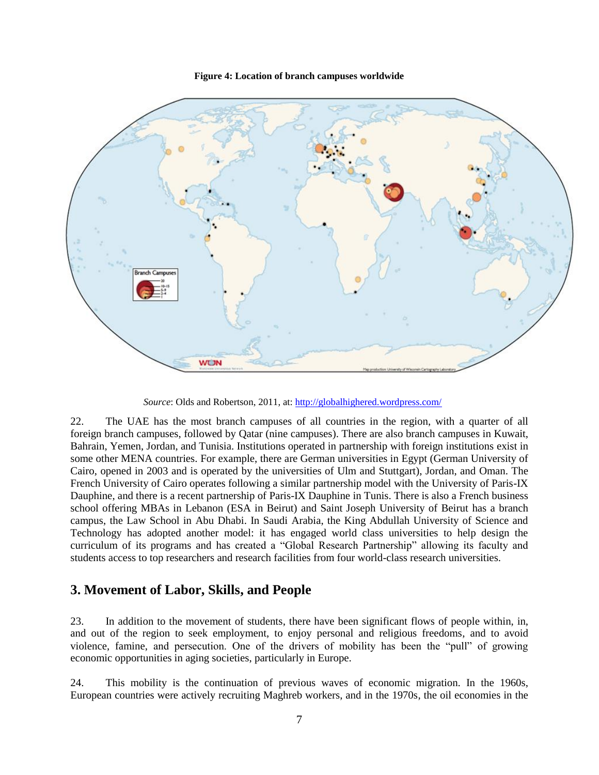**Figure 4: Location of branch campuses worldwide**



*Source*: Olds and Robertson, 2011, at:<http://globalhighered.wordpress.com/>

22. The UAE has the most branch campuses of all countries in the region, with a quarter of all foreign branch campuses, followed by Qatar (nine campuses). There are also branch campuses in Kuwait, Bahrain, Yemen, Jordan, and Tunisia. Institutions operated in partnership with foreign institutions exist in some other MENA countries. For example, there are German universities in Egypt (German University of Cairo, opened in 2003 and is operated by the universities of Ulm and Stuttgart), Jordan, and Oman. The French University of Cairo operates following a similar partnership model with the University of Paris-IX Dauphine, and there is a recent partnership of Paris-IX Dauphine in Tunis. There is also a French business school offering MBAs in Lebanon (ESA in Beirut) and Saint Joseph University of Beirut has a branch campus, the Law School in Abu Dhabi. In Saudi Arabia, the King Abdullah University of Science and Technology has adopted another model: it has engaged world class universities to help design the curriculum of its programs and has created a "Global Research Partnership" allowing its faculty and students access to top researchers and research facilities from four world-class research universities.

## <span id="page-8-0"></span>**3. Movement of Labor, Skills, and People**

23. In addition to the movement of students, there have been significant flows of people within, in, and out of the region to seek employment, to enjoy personal and religious freedoms, and to avoid violence, famine, and persecution. One of the drivers of mobility has been the "pull" of growing economic opportunities in aging societies, particularly in Europe.

24. This mobility is the continuation of previous waves of economic migration. In the 1960s, European countries were actively recruiting Maghreb workers, and in the 1970s, the oil economies in the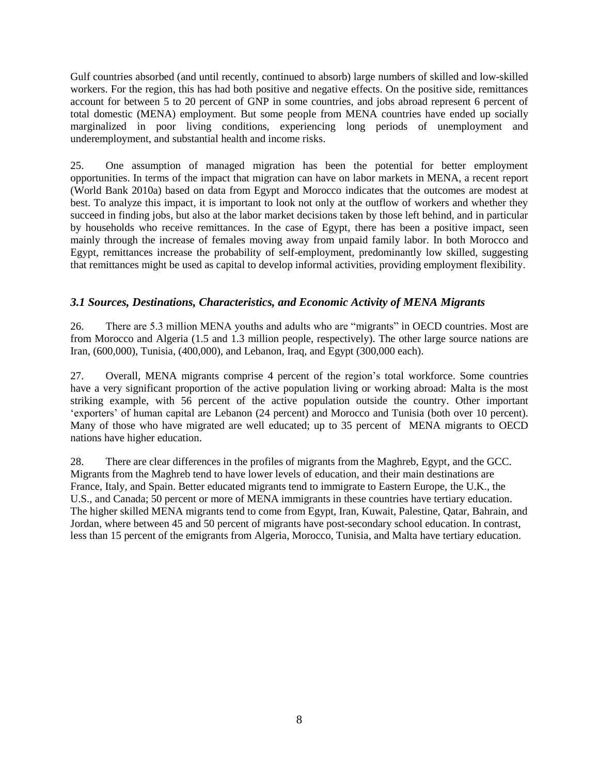Gulf countries absorbed (and until recently, continued to absorb) large numbers of skilled and low-skilled workers. For the region, this has had both positive and negative effects. On the positive side, remittances account for between 5 to 20 percent of GNP in some countries, and jobs abroad represent 6 percent of total domestic (MENA) employment. But some people from MENA countries have ended up socially marginalized in poor living conditions, experiencing long periods of unemployment and underemployment, and substantial health and income risks.

25. One assumption of managed migration has been the potential for better employment opportunities. In terms of the impact that migration can have on labor markets in MENA, a recent report (World Bank 2010a) based on data from Egypt and Morocco indicates that the outcomes are modest at best. To analyze this impact, it is important to look not only at the outflow of workers and whether they succeed in finding jobs, but also at the labor market decisions taken by those left behind, and in particular by households who receive remittances. In the case of Egypt, there has been a positive impact, seen mainly through the increase of females moving away from unpaid family labor. In both Morocco and Egypt, remittances increase the probability of self-employment, predominantly low skilled, suggesting that remittances might be used as capital to develop informal activities, providing employment flexibility.

### *3.1 Sources, Destinations, Characteristics, and Economic Activity of MENA Migrants*

26. There are 5.3 million MENA youths and adults who are "migrants" in OECD countries. Most are from Morocco and Algeria (1.5 and 1.3 million people, respectively). The other large source nations are Iran, (600,000), Tunisia, (400,000), and Lebanon, Iraq, and Egypt (300,000 each).

27. Overall, MENA migrants comprise 4 percent of the region"s total workforce. Some countries have a very significant proportion of the active population living or working abroad: Malta is the most striking example, with 56 percent of the active population outside the country. Other important "exporters" of human capital are Lebanon (24 percent) and Morocco and Tunisia (both over 10 percent). Many of those who have migrated are well educated; up to 35 percent of MENA migrants to OECD nations have higher education.

28. There are clear differences in the profiles of migrants from the Maghreb, Egypt, and the GCC. Migrants from the Maghreb tend to have lower levels of education, and their main destinations are France, Italy, and Spain. Better educated migrants tend to immigrate to Eastern Europe, the U.K., the U.S., and Canada; 50 percent or more of MENA immigrants in these countries have tertiary education. The higher skilled MENA migrants tend to come from Egypt, Iran, Kuwait, Palestine, Qatar, Bahrain, and Jordan, where between 45 and 50 percent of migrants have post-secondary school education. In contrast, less than 15 percent of the emigrants from Algeria, Morocco, Tunisia, and Malta have tertiary education.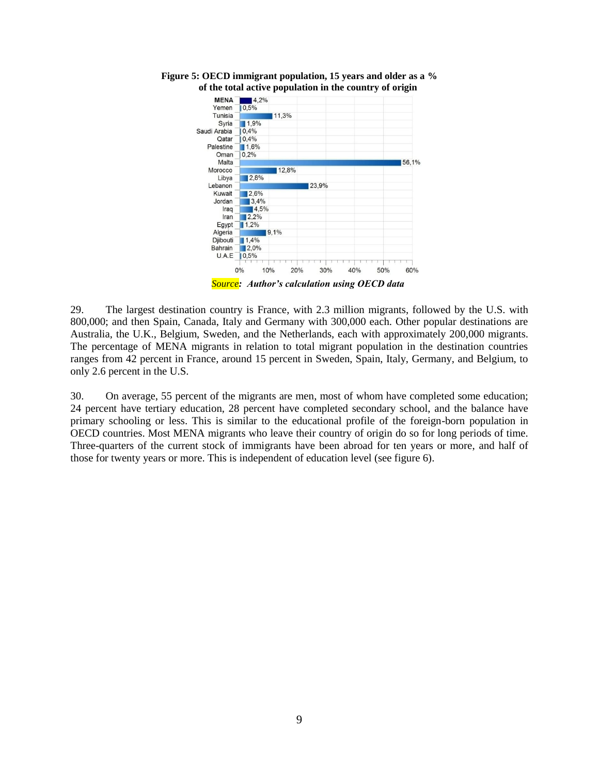

**Figure 5: OECD immigrant population, 15 years and older as a % of the total active population in the country of origin**

*Source: Author's calculation using OECD data*

29. The largest destination country is France, with 2.3 million migrants, followed by the U.S. with 800,000; and then Spain, Canada, Italy and Germany with 300,000 each. Other popular destinations are Australia, the U.K., Belgium, Sweden, and the Netherlands, each with approximately 200,000 migrants. The percentage of MENA migrants in relation to total migrant population in the destination countries ranges from 42 percent in France, around 15 percent in Sweden, Spain, Italy, Germany, and Belgium, to only 2.6 percent in the U.S.

30. On average, 55 percent of the migrants are men, most of whom have completed some education; 24 percent have tertiary education, 28 percent have completed secondary school, and the balance have primary schooling or less. This is similar to the educational profile of the foreign-born population in OECD countries. Most MENA migrants who leave their country of origin do so for long periods of time. Three-quarters of the current stock of immigrants have been abroad for ten years or more, and half of those for twenty years or more. This is independent of education level (see figure 6).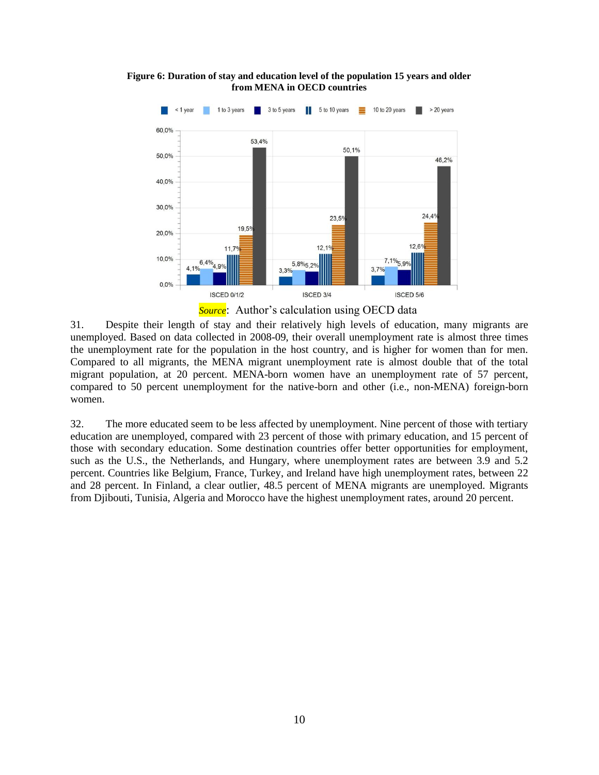

**Figure 6: Duration of stay and education level of the population 15 years and older from MENA in OECD countries**

*Source*: Author's calculation using OECD data

31. Despite their length of stay and their relatively high levels of education, many migrants are unemployed. Based on data collected in 2008-09, their overall unemployment rate is almost three times the unemployment rate for the population in the host country, and is higher for women than for men. Compared to all migrants, the MENA migrant unemployment rate is almost double that of the total migrant population, at 20 percent. MENA-born women have an unemployment rate of 57 percent, compared to 50 percent unemployment for the native-born and other (i.e., non-MENA) foreign-born women.

32. The more educated seem to be less affected by unemployment. Nine percent of those with tertiary education are unemployed, compared with 23 percent of those with primary education, and 15 percent of those with secondary education. Some destination countries offer better opportunities for employment, such as the U.S., the Netherlands, and Hungary, where unemployment rates are between 3.9 and 5.2 percent. Countries like Belgium, France, Turkey, and Ireland have high unemployment rates, between 22 and 28 percent. In Finland, a clear outlier, 48.5 percent of MENA migrants are unemployed. Migrants from Djibouti, Tunisia, Algeria and Morocco have the highest unemployment rates, around 20 percent.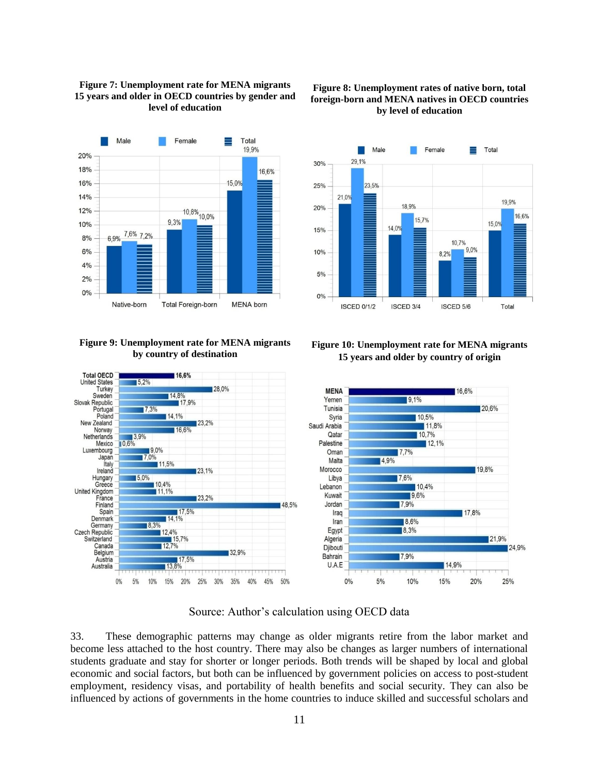

#### **Figure 7: Unemployment rate for MENA migrants 15 years and older in OECD countries by gender and level of education**

#### **Figure 9: Unemployment rate for MENA migrants by country of destination**



Source: Author"s calculation using OECD data

33. These demographic patterns may change as older migrants retire from the labor market and become less attached to the host country. There may also be changes as larger numbers of international students graduate and stay for shorter or longer periods. Both trends will be shaped by local and global economic and social factors, but both can be influenced by government policies on access to post-student employment, residency visas, and portability of health benefits and social security. They can also be influenced by actions of governments in the home countries to induce skilled and successful scholars and

#### **Figure 8: Unemployment rates of native born, total foreign-born and MENA natives in OECD countries by level of education**



**Figure 10: Unemployment rate for MENA migrants**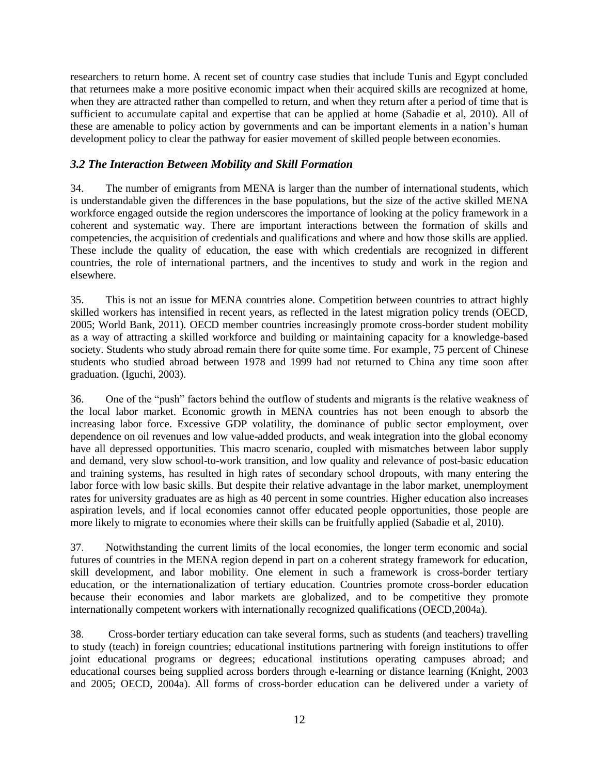researchers to return home. A recent set of country case studies that include Tunis and Egypt concluded that returnees make a more positive economic impact when their acquired skills are recognized at home, when they are attracted rather than compelled to return, and when they return after a period of time that is sufficient to accumulate capital and expertise that can be applied at home (Sabadie et al, 2010). All of these are amenable to policy action by governments and can be important elements in a nation"s human development policy to clear the pathway for easier movement of skilled people between economies.

#### *3.2 The Interaction Between Mobility and Skill Formation*

34. The number of emigrants from MENA is larger than the number of international students, which is understandable given the differences in the base populations, but the size of the active skilled MENA workforce engaged outside the region underscores the importance of looking at the policy framework in a coherent and systematic way. There are important interactions between the formation of skills and competencies, the acquisition of credentials and qualifications and where and how those skills are applied. These include the quality of education, the ease with which credentials are recognized in different countries, the role of international partners, and the incentives to study and work in the region and elsewhere.

35. This is not an issue for MENA countries alone. Competition between countries to attract highly skilled workers has intensified in recent years, as reflected in the latest migration policy trends (OECD, 2005; World Bank, 2011). OECD member countries increasingly promote cross-border student mobility as a way of attracting a skilled workforce and building or maintaining capacity for a knowledge-based society. Students who study abroad remain there for quite some time. For example, 75 percent of Chinese students who studied abroad between 1978 and 1999 had not returned to China any time soon after graduation. (Iguchi, 2003).

36. One of the "push" factors behind the outflow of students and migrants is the relative weakness of the local labor market. Economic growth in MENA countries has not been enough to absorb the increasing labor force. Excessive GDP volatility, the dominance of public sector employment, over dependence on oil revenues and low value-added products, and weak integration into the global economy have all depressed opportunities. This macro scenario, coupled with mismatches between labor supply and demand, very slow school-to-work transition, and low quality and relevance of post-basic education and training systems, has resulted in high rates of secondary school dropouts, with many entering the labor force with low basic skills. But despite their relative advantage in the labor market, unemployment rates for university graduates are as high as 40 percent in some countries. Higher education also increases aspiration levels, and if local economies cannot offer educated people opportunities, those people are more likely to migrate to economies where their skills can be fruitfully applied (Sabadie et al, 2010).

37. Notwithstanding the current limits of the local economies, the longer term economic and social futures of countries in the MENA region depend in part on a coherent strategy framework for education, skill development, and labor mobility. One element in such a framework is cross-border tertiary education, or the internationalization of tertiary education. Countries promote cross-border education because their economies and labor markets are globalized, and to be competitive they promote internationally competent workers with internationally recognized qualifications (OECD,2004a).

38. Cross-border tertiary education can take several forms, such as students (and teachers) travelling to study (teach) in foreign countries; educational institutions partnering with foreign institutions to offer joint educational programs or degrees; educational institutions operating campuses abroad; and educational courses being supplied across borders through e-learning or distance learning (Knight, 2003 and 2005; OECD, 2004a). All forms of cross-border education can be delivered under a variety of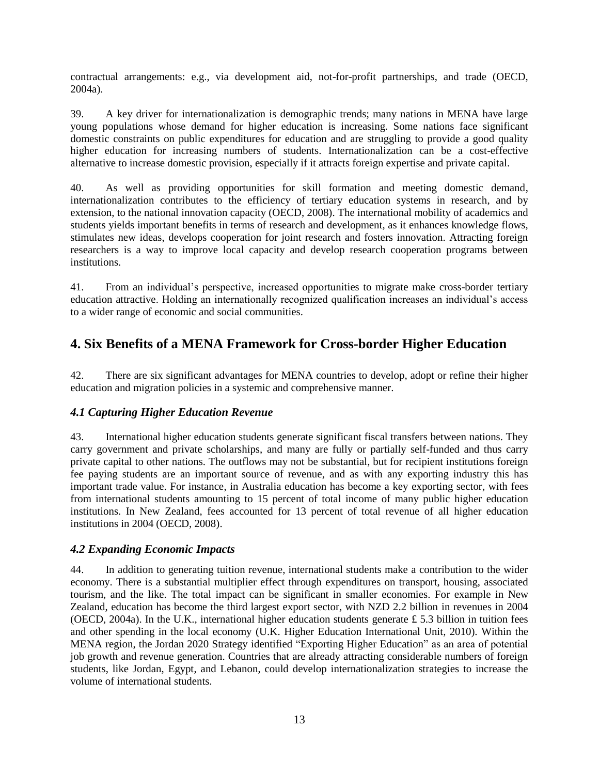contractual arrangements: e.g., via development aid, not-for-profit partnerships, and trade (OECD, 2004a).

39. A key driver for internationalization is demographic trends; many nations in MENA have large young populations whose demand for higher education is increasing. Some nations face significant domestic constraints on public expenditures for education and are struggling to provide a good quality higher education for increasing numbers of students. Internationalization can be a cost-effective alternative to increase domestic provision, especially if it attracts foreign expertise and private capital.

40. As well as providing opportunities for skill formation and meeting domestic demand, internationalization contributes to the efficiency of tertiary education systems in research, and by extension, to the national innovation capacity (OECD, 2008). The international mobility of academics and students yields important benefits in terms of research and development, as it enhances knowledge flows, stimulates new ideas, develops cooperation for joint research and fosters innovation. Attracting foreign researchers is a way to improve local capacity and develop research cooperation programs between institutions.

41. From an individual"s perspective, increased opportunities to migrate make cross-border tertiary education attractive. Holding an internationally recognized qualification increases an individual"s access to a wider range of economic and social communities.

## <span id="page-14-0"></span>**4. Six Benefits of a MENA Framework for Cross-border Higher Education**

42. There are six significant advantages for MENA countries to develop, adopt or refine their higher education and migration policies in a systemic and comprehensive manner.

### *4.1 Capturing Higher Education Revenue*

43. International higher education students generate significant fiscal transfers between nations. They carry government and private scholarships, and many are fully or partially self-funded and thus carry private capital to other nations. The outflows may not be substantial, but for recipient institutions foreign fee paying students are an important source of revenue, and as with any exporting industry this has important trade value. For instance, in Australia education has become a key exporting sector, with fees from international students amounting to 15 percent of total income of many public higher education institutions. In New Zealand, fees accounted for 13 percent of total revenue of all higher education institutions in 2004 (OECD, 2008).

### *4.2 Expanding Economic Impacts*

44. In addition to generating tuition revenue, international students make a contribution to the wider economy. There is a substantial multiplier effect through expenditures on transport, housing, associated tourism, and the like. The total impact can be significant in smaller economies. For example in New Zealand, education has become the third largest export sector, with NZD 2.2 billion in revenues in 2004 (OECD, 2004a). In the U.K., international higher education students generate £ 5.3 billion in tuition fees and other spending in the local economy (U.K. Higher Education International Unit, 2010). Within the MENA region, the Jordan 2020 Strategy identified "Exporting Higher Education" as an area of potential job growth and revenue generation. Countries that are already attracting considerable numbers of foreign students, like Jordan, Egypt, and Lebanon, could develop internationalization strategies to increase the volume of international students.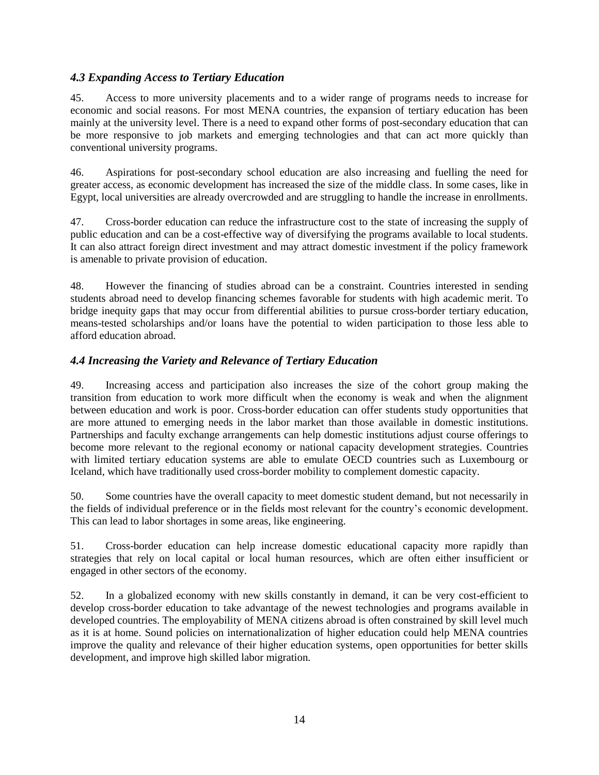### *4.3 Expanding Access to Tertiary Education*

45. Access to more university placements and to a wider range of programs needs to increase for economic and social reasons. For most MENA countries, the expansion of tertiary education has been mainly at the university level. There is a need to expand other forms of post-secondary education that can be more responsive to job markets and emerging technologies and that can act more quickly than conventional university programs.

46. Aspirations for post-secondary school education are also increasing and fuelling the need for greater access, as economic development has increased the size of the middle class. In some cases, like in Egypt, local universities are already overcrowded and are struggling to handle the increase in enrollments.

47. Cross-border education can reduce the infrastructure cost to the state of increasing the supply of public education and can be a cost-effective way of diversifying the programs available to local students. It can also attract foreign direct investment and may attract domestic investment if the policy framework is amenable to private provision of education.

48. However the financing of studies abroad can be a constraint. Countries interested in sending students abroad need to develop financing schemes favorable for students with high academic merit. To bridge inequity gaps that may occur from differential abilities to pursue cross-border tertiary education, means-tested scholarships and/or loans have the potential to widen participation to those less able to afford education abroad.

### *4.4 Increasing the Variety and Relevance of Tertiary Education*

49. Increasing access and participation also increases the size of the cohort group making the transition from education to work more difficult when the economy is weak and when the alignment between education and work is poor. Cross-border education can offer students study opportunities that are more attuned to emerging needs in the labor market than those available in domestic institutions. Partnerships and faculty exchange arrangements can help domestic institutions adjust course offerings to become more relevant to the regional economy or national capacity development strategies. Countries with limited tertiary education systems are able to emulate OECD countries such as Luxembourg or Iceland, which have traditionally used cross-border mobility to complement domestic capacity.

50. Some countries have the overall capacity to meet domestic student demand, but not necessarily in the fields of individual preference or in the fields most relevant for the country"s economic development. This can lead to labor shortages in some areas, like engineering.

51. Cross-border education can help increase domestic educational capacity more rapidly than strategies that rely on local capital or local human resources, which are often either insufficient or engaged in other sectors of the economy.

52. In a globalized economy with new skills constantly in demand, it can be very cost-efficient to develop cross-border education to take advantage of the newest technologies and programs available in developed countries. The employability of MENA citizens abroad is often constrained by skill level much as it is at home. Sound policies on internationalization of higher education could help MENA countries improve the quality and relevance of their higher education systems, open opportunities for better skills development, and improve high skilled labor migration.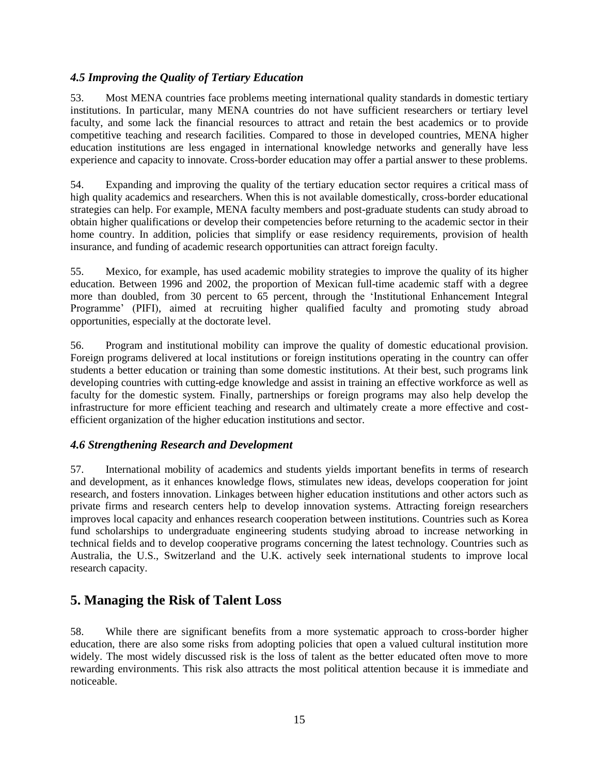### *4.5 Improving the Quality of Tertiary Education*

53. Most MENA countries face problems meeting international quality standards in domestic tertiary institutions. In particular, many MENA countries do not have sufficient researchers or tertiary level faculty, and some lack the financial resources to attract and retain the best academics or to provide competitive teaching and research facilities. Compared to those in developed countries, MENA higher education institutions are less engaged in international knowledge networks and generally have less experience and capacity to innovate. Cross-border education may offer a partial answer to these problems.

54. Expanding and improving the quality of the tertiary education sector requires a critical mass of high quality academics and researchers. When this is not available domestically, cross-border educational strategies can help. For example, MENA faculty members and post-graduate students can study abroad to obtain higher qualifications or develop their competencies before returning to the academic sector in their home country. In addition, policies that simplify or ease residency requirements, provision of health insurance, and funding of academic research opportunities can attract foreign faculty.

55. Mexico, for example, has used academic mobility strategies to improve the quality of its higher education. Between 1996 and 2002, the proportion of Mexican full-time academic staff with a degree more than doubled, from 30 percent to 65 percent, through the "Institutional Enhancement Integral Programme" (PIFI), aimed at recruiting higher qualified faculty and promoting study abroad opportunities, especially at the doctorate level.

56. Program and institutional mobility can improve the quality of domestic educational provision. Foreign programs delivered at local institutions or foreign institutions operating in the country can offer students a better education or training than some domestic institutions. At their best, such programs link developing countries with cutting-edge knowledge and assist in training an effective workforce as well as faculty for the domestic system. Finally, partnerships or foreign programs may also help develop the infrastructure for more efficient teaching and research and ultimately create a more effective and costefficient organization of the higher education institutions and sector.

#### *4.6 Strengthening Research and Development*

57. International mobility of academics and students yields important benefits in terms of research and development, as it enhances knowledge flows, stimulates new ideas, develops cooperation for joint research, and fosters innovation. Linkages between higher education institutions and other actors such as private firms and research centers help to develop innovation systems. Attracting foreign researchers improves local capacity and enhances research cooperation between institutions. Countries such as Korea fund scholarships to undergraduate engineering students studying abroad to increase networking in technical fields and to develop cooperative programs concerning the latest technology. Countries such as Australia, the U.S., Switzerland and the U.K. actively seek international students to improve local research capacity.

## <span id="page-16-0"></span>**5. Managing the Risk of Talent Loss**

58. While there are significant benefits from a more systematic approach to cross-border higher education, there are also some risks from adopting policies that open a valued cultural institution more widely. The most widely discussed risk is the loss of talent as the better educated often move to more rewarding environments. This risk also attracts the most political attention because it is immediate and noticeable.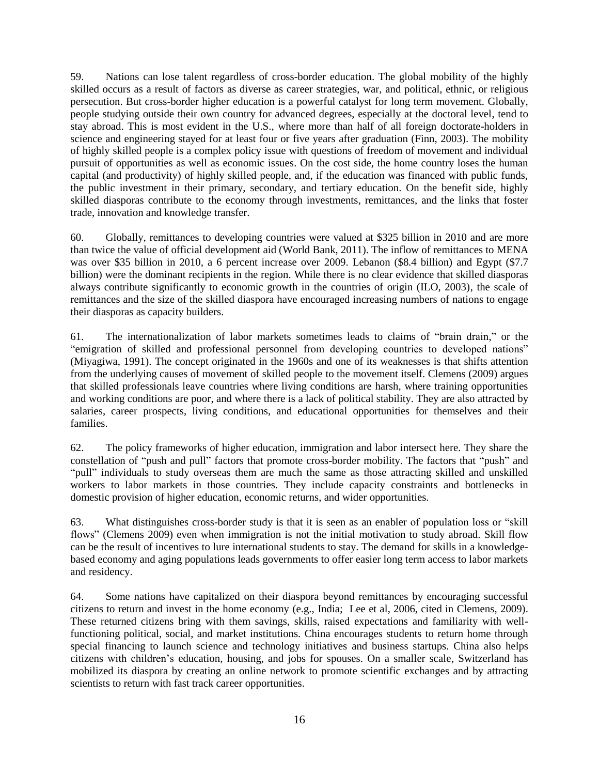59. Nations can lose talent regardless of cross-border education. The global mobility of the highly skilled occurs as a result of factors as diverse as career strategies, war, and political, ethnic, or religious persecution. But cross-border higher education is a powerful catalyst for long term movement. Globally, people studying outside their own country for advanced degrees, especially at the doctoral level, tend to stay abroad. This is most evident in the U.S., where more than half of all foreign doctorate-holders in science and engineering stayed for at least four or five years after graduation (Finn, 2003). The mobility of highly skilled people is a complex policy issue with questions of freedom of movement and individual pursuit of opportunities as well as economic issues. On the cost side, the home country loses the human capital (and productivity) of highly skilled people, and, if the education was financed with public funds, the public investment in their primary, secondary, and tertiary education. On the benefit side, highly skilled diasporas contribute to the economy through investments, remittances, and the links that foster trade, innovation and knowledge transfer.

60. Globally, remittances to developing countries were valued at \$325 billion in 2010 and are more than twice the value of official development aid (World Bank, 2011). The inflow of remittances to MENA was over \$35 billion in 2010, a 6 percent increase over 2009. Lebanon (\$8.4 billion) and Egypt (\$7.7 billion) were the dominant recipients in the region. While there is no clear evidence that skilled diasporas always contribute significantly to economic growth in the countries of origin (ILO, 2003), the scale of remittances and the size of the skilled diaspora have encouraged increasing numbers of nations to engage their diasporas as capacity builders.

61. The internationalization of labor markets sometimes leads to claims of "brain drain," or the "emigration of skilled and professional personnel from developing countries to developed nations" (Miyagiwa, 1991). The concept originated in the 1960s and one of its weaknesses is that shifts attention from the underlying causes of movement of skilled people to the movement itself. Clemens (2009) argues that skilled professionals leave countries where living conditions are harsh, where training opportunities and working conditions are poor, and where there is a lack of political stability. They are also attracted by salaries, career prospects, living conditions, and educational opportunities for themselves and their families.

62. The policy frameworks of higher education, immigration and labor intersect here. They share the constellation of "push and pull" factors that promote cross-border mobility. The factors that "push" and "pull" individuals to study overseas them are much the same as those attracting skilled and unskilled workers to labor markets in those countries. They include capacity constraints and bottlenecks in domestic provision of higher education, economic returns, and wider opportunities.

63. What distinguishes cross-border study is that it is seen as an enabler of population loss or "skill flows" (Clemens 2009) even when immigration is not the initial motivation to study abroad. Skill flow can be the result of incentives to lure international students to stay. The demand for skills in a knowledgebased economy and aging populations leads governments to offer easier long term access to labor markets and residency.

64. Some nations have capitalized on their diaspora beyond remittances by encouraging successful citizens to return and invest in the home economy (e.g., India; Lee et al, 2006, cited in Clemens, 2009). These returned citizens bring with them savings, skills, raised expectations and familiarity with wellfunctioning political, social, and market institutions. China encourages students to return home through special financing to launch science and technology initiatives and business startups. China also helps citizens with children"s education, housing, and jobs for spouses. On a smaller scale, Switzerland has mobilized its diaspora by creating an online network to promote scientific exchanges and by attracting scientists to return with fast track career opportunities.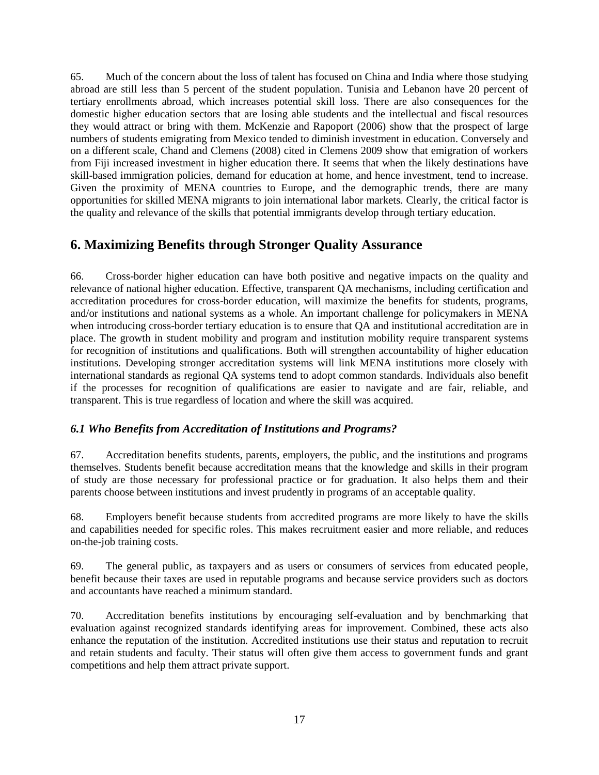65. Much of the concern about the loss of talent has focused on China and India where those studying abroad are still less than 5 percent of the student population. Tunisia and Lebanon have 20 percent of tertiary enrollments abroad, which increases potential skill loss. There are also consequences for the domestic higher education sectors that are losing able students and the intellectual and fiscal resources they would attract or bring with them. McKenzie and Rapoport (2006) show that the prospect of large numbers of students emigrating from Mexico tended to diminish investment in education. Conversely and on a different scale, Chand and Clemens (2008) cited in Clemens 2009 show that emigration of workers from Fiji increased investment in higher education there. It seems that when the likely destinations have skill-based immigration policies, demand for education at home, and hence investment, tend to increase. Given the proximity of MENA countries to Europe, and the demographic trends, there are many opportunities for skilled MENA migrants to join international labor markets. Clearly, the critical factor is the quality and relevance of the skills that potential immigrants develop through tertiary education.

## <span id="page-18-0"></span>**6. Maximizing Benefits through Stronger Quality Assurance**

66. Cross-border higher education can have both positive and negative impacts on the quality and relevance of national higher education. Effective, transparent QA mechanisms, including certification and accreditation procedures for cross-border education, will maximize the benefits for students, programs, and/or institutions and national systems as a whole. An important challenge for policymakers in MENA when introducing cross-border tertiary education is to ensure that QA and institutional accreditation are in place. The growth in student mobility and program and institution mobility require transparent systems for recognition of institutions and qualifications. Both will strengthen accountability of higher education institutions. Developing stronger accreditation systems will link MENA institutions more closely with international standards as regional QA systems tend to adopt common standards. Individuals also benefit if the processes for recognition of qualifications are easier to navigate and are fair, reliable, and transparent. This is true regardless of location and where the skill was acquired.

#### *6.1 Who Benefits from Accreditation of Institutions and Programs?*

67. Accreditation benefits students, parents, employers, the public, and the institutions and programs themselves. Students benefit because accreditation means that the knowledge and skills in their program of study are those necessary for professional practice or for graduation. It also helps them and their parents choose between institutions and invest prudently in programs of an acceptable quality.

68. Employers benefit because students from accredited programs are more likely to have the skills and capabilities needed for specific roles. This makes recruitment easier and more reliable, and reduces on-the-job training costs.

69. The general public, as taxpayers and as users or consumers of services from educated people, benefit because their taxes are used in reputable programs and because service providers such as doctors and accountants have reached a minimum standard.

70. Accreditation benefits institutions by encouraging self-evaluation and by benchmarking that evaluation against recognized standards identifying areas for improvement. Combined, these acts also enhance the reputation of the institution. Accredited institutions use their status and reputation to recruit and retain students and faculty. Their status will often give them access to government funds and grant competitions and help them attract private support.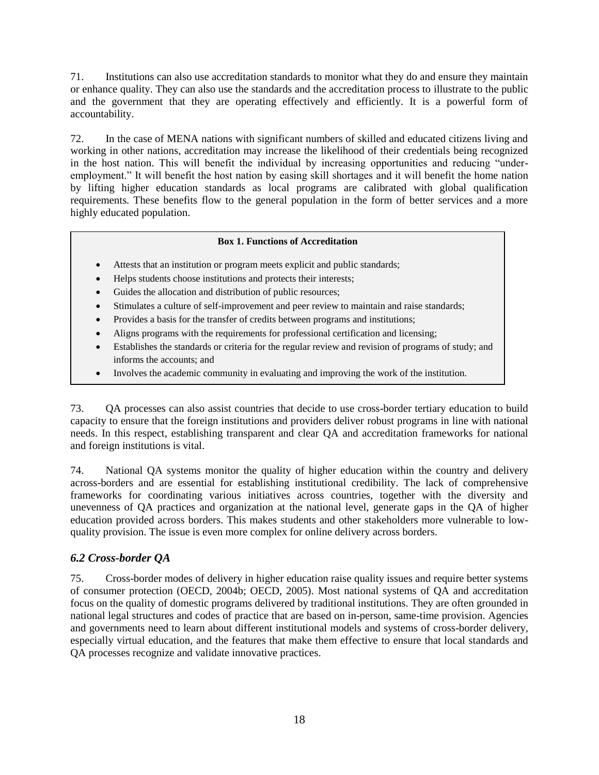71. Institutions can also use accreditation standards to monitor what they do and ensure they maintain or enhance quality. They can also use the standards and the accreditation process to illustrate to the public and the government that they are operating effectively and efficiently. It is a powerful form of accountability.

72. In the case of MENA nations with significant numbers of skilled and educated citizens living and working in other nations, accreditation may increase the likelihood of their credentials being recognized in the host nation. This will benefit the individual by increasing opportunities and reducing "underemployment." It will benefit the host nation by easing skill shortages and it will benefit the home nation by lifting higher education standards as local programs are calibrated with global qualification requirements. These benefits flow to the general population in the form of better services and a more highly educated population.

#### **Box 1. Functions of Accreditation**

- Attests that an institution or program meets explicit and public standards;
- Helps students choose institutions and protects their interests;
- Guides the allocation and distribution of public resources;
- Stimulates a culture of self-improvement and peer review to maintain and raise standards;
- Provides a basis for the transfer of credits between programs and institutions;
- Aligns programs with the requirements for professional certification and licensing;
- Establishes the standards or criteria for the regular review and revision of programs of study; and informs the accounts; and
- Involves the academic community in evaluating and improving the work of the institution.

73. QA processes can also assist countries that decide to use cross-border tertiary education to build capacity to ensure that the foreign institutions and providers deliver robust programs in line with national needs. In this respect, establishing transparent and clear QA and accreditation frameworks for national and foreign institutions is vital.

74. National QA systems monitor the quality of higher education within the country and delivery across-borders and are essential for establishing institutional credibility. The lack of comprehensive frameworks for coordinating various initiatives across countries, together with the diversity and unevenness of QA practices and organization at the national level, generate gaps in the QA of higher education provided across borders. This makes students and other stakeholders more vulnerable to lowquality provision. The issue is even more complex for online delivery across borders.

#### *6.2 Cross-border QA*

75. Cross-border modes of delivery in higher education raise quality issues and require better systems of consumer protection (OECD, 2004b; OECD, 2005). Most national systems of QA and accreditation focus on the quality of domestic programs delivered by traditional institutions. They are often grounded in national legal structures and codes of practice that are based on in-person, same-time provision. Agencies and governments need to learn about different institutional models and systems of cross-border delivery, especially virtual education, and the features that make them effective to ensure that local standards and QA processes recognize and validate innovative practices.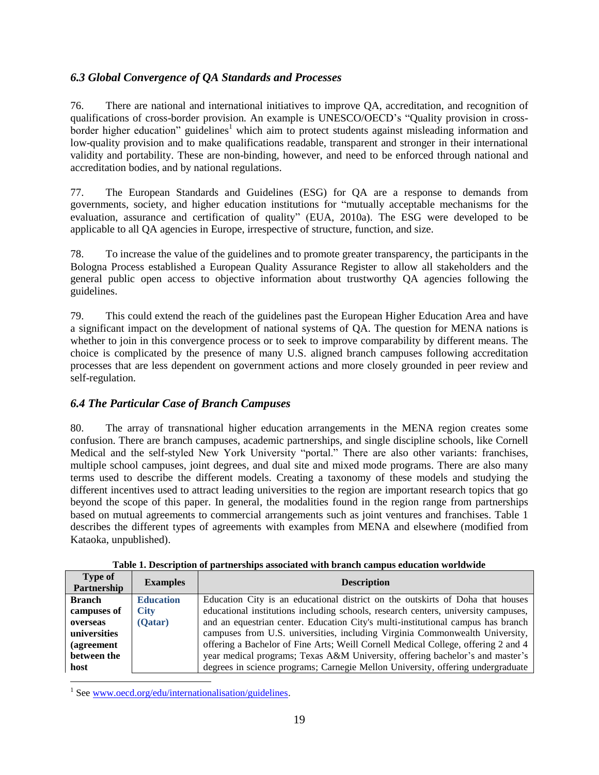### *6.3 Global Convergence of QA Standards and Processes*

76. There are national and international initiatives to improve QA, accreditation, and recognition of qualifications of cross-border provision. An example is UNESCO/OECD"s "Quality provision in crossborder higher education" guidelines<sup>1</sup> which aim to protect students against misleading information and low-quality provision and to make qualifications readable, transparent and stronger in their international validity and portability. These are non-binding, however, and need to be enforced through national and accreditation bodies, and by national regulations.

77. The European Standards and Guidelines (ESG) for QA are a response to demands from governments, society, and higher education institutions for "mutually acceptable mechanisms for the evaluation, assurance and certification of quality" (EUA, 2010a). The ESG were developed to be applicable to all QA agencies in Europe, irrespective of structure, function, and size.

78. To increase the value of the guidelines and to promote greater transparency, the participants in the Bologna Process established a European Quality Assurance Register to allow all stakeholders and the general public open access to objective information about trustworthy QA agencies following the guidelines.

79. This could extend the reach of the guidelines past the European Higher Education Area and have a significant impact on the development of national systems of QA. The question for MENA nations is whether to join in this convergence process or to seek to improve comparability by different means. The choice is complicated by the presence of many U.S. aligned branch campuses following accreditation processes that are less dependent on government actions and more closely grounded in peer review and self-regulation.

### *6.4 The Particular Case of Branch Campuses*

80. The array of transnational higher education arrangements in the MENA region creates some confusion. There are branch campuses, academic partnerships, and single discipline schools, like Cornell Medical and the self-styled New York University "portal." There are also other variants: franchises, multiple school campuses, joint degrees, and dual site and mixed mode programs. There are also many terms used to describe the different models. Creating a taxonomy of these models and studying the different incentives used to attract leading universities to the region are important research topics that go beyond the scope of this paper. In general, the modalities found in the region range from partnerships based on mutual agreements to commercial arrangements such as joint ventures and franchises. Table 1 describes the different types of agreements with examples from MENA and elsewhere (modified from Kataoka, unpublished).

| <b>Type of</b><br>Partnership | <b>Examples</b>  | <b>Description</b>                                                                 |
|-------------------------------|------------------|------------------------------------------------------------------------------------|
| <b>Branch</b>                 | <b>Education</b> | Education City is an educational district on the outskirts of Doha that houses     |
| campuses of                   | <b>City</b>      | educational institutions including schools, research centers, university campuses, |
| overseas                      | (Qatar)          | and an equestrian center. Education City's multi-institutional campus has branch   |
| universities                  |                  | campuses from U.S. universities, including Virginia Commonwealth University,       |
| <i>(agreement</i> )           |                  | offering a Bachelor of Fine Arts; Weill Cornell Medical College, offering 2 and 4  |
| between the                   |                  | year medical programs; Texas A&M University, offering bachelor's and master's      |
| host                          |                  | degrees in science programs; Carnegie Mellon University, offering undergraduate    |
|                               |                  |                                                                                    |

**Table 1. Description of partnerships associated with branch campus education worldwide**

<sup>1</sup> Se[e www.oecd.org/edu/internationalisation/guidelines.](http://www.oecd.org/edu/internationalisation/guidelines)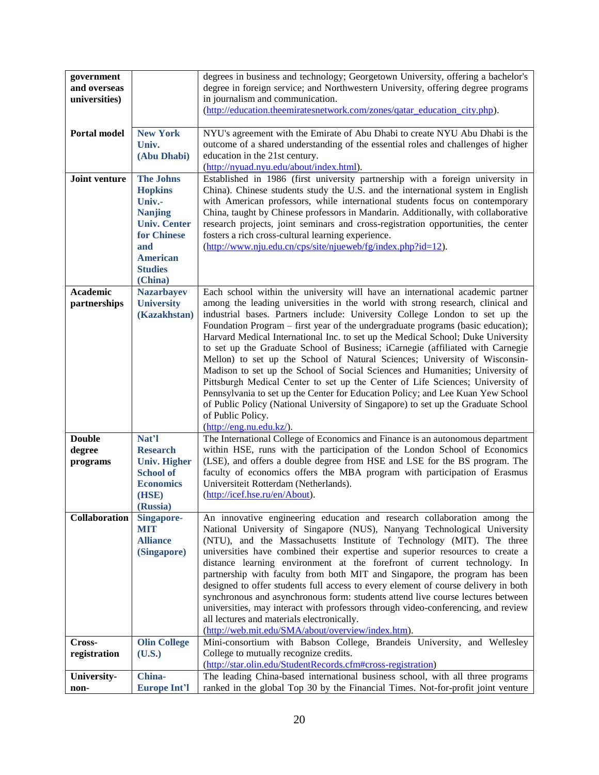| government           |                     | degrees in business and technology; Georgetown University, offering a bachelor's   |  |  |  |  |  |  |
|----------------------|---------------------|------------------------------------------------------------------------------------|--|--|--|--|--|--|
| and overseas         |                     | degree in foreign service; and Northwestern University, offering degree programs   |  |  |  |  |  |  |
| universities)        |                     | in journalism and communication.                                                   |  |  |  |  |  |  |
|                      |                     | (http://education.theemiratesnetwork.com/zones/qatar_education_city.php).          |  |  |  |  |  |  |
|                      |                     |                                                                                    |  |  |  |  |  |  |
| <b>Portal model</b>  | <b>New York</b>     | NYU's agreement with the Emirate of Abu Dhabi to create NYU Abu Dhabi is the       |  |  |  |  |  |  |
|                      | Univ.               | outcome of a shared understanding of the essential roles and challenges of higher  |  |  |  |  |  |  |
|                      | (Abu Dhabi)         | education in the 21st century.                                                     |  |  |  |  |  |  |
|                      |                     | (http://nyuad.nyu.edu/about/index.html).                                           |  |  |  |  |  |  |
| Joint venture        | <b>The Johns</b>    | Established in 1986 (first university partnership with a foreign university in     |  |  |  |  |  |  |
|                      | <b>Hopkins</b>      | China). Chinese students study the U.S. and the international system in English    |  |  |  |  |  |  |
|                      | Univ .-             | with American professors, while international students focus on contemporary       |  |  |  |  |  |  |
|                      | <b>Nanjing</b>      | China, taught by Chinese professors in Mandarin. Additionally, with collaborative  |  |  |  |  |  |  |
|                      | <b>Univ. Center</b> | research projects, joint seminars and cross-registration opportunities, the center |  |  |  |  |  |  |
|                      | for Chinese         | fosters a rich cross-cultural learning experience.                                 |  |  |  |  |  |  |
|                      | and                 | (http://www.nju.edu.cn/cps/site/njueweb/fg/index.php?id=12).                       |  |  |  |  |  |  |
|                      | <b>American</b>     |                                                                                    |  |  |  |  |  |  |
|                      | <b>Studies</b>      |                                                                                    |  |  |  |  |  |  |
|                      | (China)             |                                                                                    |  |  |  |  |  |  |
| <b>Academic</b>      | <b>Nazarbayev</b>   | Each school within the university will have an international academic partner      |  |  |  |  |  |  |
| partnerships         | <b>University</b>   | among the leading universities in the world with strong research, clinical and     |  |  |  |  |  |  |
|                      | (Kazakhstan)        | industrial bases. Partners include: University College London to set up the        |  |  |  |  |  |  |
|                      |                     | Foundation Program – first year of the undergraduate programs (basic education);   |  |  |  |  |  |  |
|                      |                     | Harvard Medical International Inc. to set up the Medical School; Duke University   |  |  |  |  |  |  |
|                      |                     | to set up the Graduate School of Business; iCarnegie (affiliated with Carnegie     |  |  |  |  |  |  |
|                      |                     | Mellon) to set up the School of Natural Sciences; University of Wisconsin-         |  |  |  |  |  |  |
|                      |                     | Madison to set up the School of Social Sciences and Humanities; University of      |  |  |  |  |  |  |
|                      |                     | Pittsburgh Medical Center to set up the Center of Life Sciences; University of     |  |  |  |  |  |  |
|                      |                     | Pennsylvania to set up the Center for Education Policy; and Lee Kuan Yew School    |  |  |  |  |  |  |
|                      |                     | of Public Policy (National University of Singapore) to set up the Graduate School  |  |  |  |  |  |  |
|                      |                     | of Public Policy.                                                                  |  |  |  |  |  |  |
|                      |                     | $(\frac{http://eng.nu.edu.kz/}{$ .                                                 |  |  |  |  |  |  |
| <b>Double</b>        | Nat'l               | The International College of Economics and Finance is an autonomous department     |  |  |  |  |  |  |
| degree               | <b>Research</b>     | within HSE, runs with the participation of the London School of Economics          |  |  |  |  |  |  |
| programs             | <b>Univ. Higher</b> | (LSE), and offers a double degree from HSE and LSE for the BS program. The         |  |  |  |  |  |  |
|                      | <b>School of</b>    | faculty of economics offers the MBA program with participation of Erasmus          |  |  |  |  |  |  |
|                      | <b>Economics</b>    | Universiteit Rotterdam (Netherlands).                                              |  |  |  |  |  |  |
|                      | (HSE)               | (http://icef.hse.ru/en/About).                                                     |  |  |  |  |  |  |
|                      | (Russia)            |                                                                                    |  |  |  |  |  |  |
| <b>Collaboration</b> | <b>Singapore-</b>   | An innovative engineering education and research collaboration among the           |  |  |  |  |  |  |
|                      | <b>MIT</b>          | National University of Singapore (NUS), Nanyang Technological University           |  |  |  |  |  |  |
|                      | <b>Alliance</b>     | (NTU), and the Massachusetts Institute of Technology (MIT). The three              |  |  |  |  |  |  |
|                      | (Singapore)         | universities have combined their expertise and superior resources to create a      |  |  |  |  |  |  |
|                      |                     | distance learning environment at the forefront of current technology. In           |  |  |  |  |  |  |
|                      |                     | partnership with faculty from both MIT and Singapore, the program has been         |  |  |  |  |  |  |
|                      |                     | designed to offer students full access to every element of course delivery in both |  |  |  |  |  |  |
|                      |                     | synchronous and asynchronous form: students attend live course lectures between    |  |  |  |  |  |  |
|                      |                     | universities, may interact with professors through video-conferencing, and review  |  |  |  |  |  |  |
|                      |                     | all lectures and materials electronically.                                         |  |  |  |  |  |  |
|                      |                     | (http://web.mit.edu/SMA/about/overview/index.htm).                                 |  |  |  |  |  |  |
| Cross-               | <b>Olin College</b> | Mini-consortium with Babson College, Brandeis University, and Wellesley            |  |  |  |  |  |  |
| registration         | (U.S.)              | College to mutually recognize credits.                                             |  |  |  |  |  |  |
|                      |                     | (http://star.olin.edu/StudentRecords.cfm#cross-registration)                       |  |  |  |  |  |  |
| University-          | China-              | The leading China-based international business school, with all three programs     |  |  |  |  |  |  |
| non-                 | <b>Europe Int'l</b> | ranked in the global Top 30 by the Financial Times. Not-for-profit joint venture   |  |  |  |  |  |  |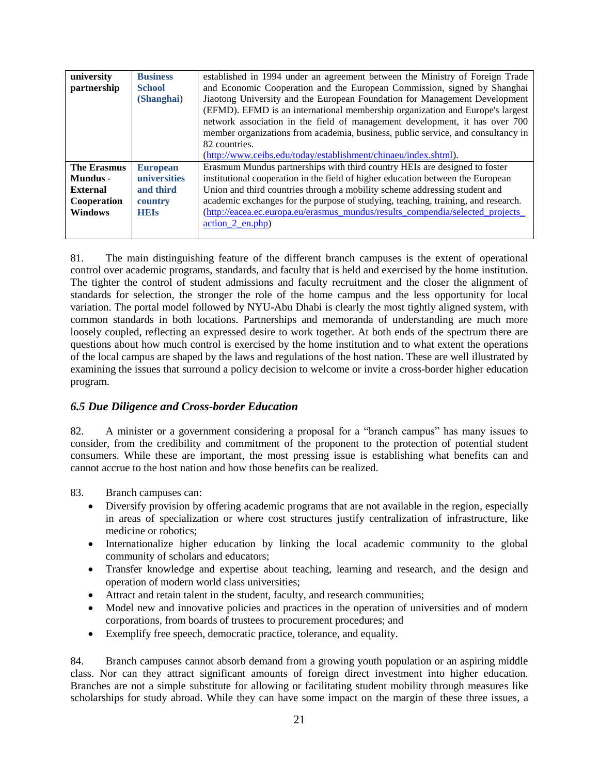| university         | <b>Business</b> | established in 1994 under an agreement between the Ministry of Foreign Trade      |  |  |  |  |  |  |
|--------------------|-----------------|-----------------------------------------------------------------------------------|--|--|--|--|--|--|
| partnership        | <b>School</b>   | and Economic Cooperation and the European Commission, signed by Shanghai          |  |  |  |  |  |  |
|                    | (Shanghai)      | Jiaotong University and the European Foundation for Management Development        |  |  |  |  |  |  |
|                    |                 | (EFMD). EFMD is an international membership organization and Europe's largest     |  |  |  |  |  |  |
|                    |                 | network association in the field of management development, it has over 700       |  |  |  |  |  |  |
|                    |                 | member organizations from academia, business, public service, and consultancy in  |  |  |  |  |  |  |
|                    |                 | 82 countries.                                                                     |  |  |  |  |  |  |
|                    |                 | (http://www.ceibs.edu/today/establishment/chinaeu/index.shtml).                   |  |  |  |  |  |  |
| <b>The Erasmus</b> | <b>European</b> | Erasmum Mundus partnerships with third country HEIs are designed to foster        |  |  |  |  |  |  |
| Mundus -           | universities    | institutional cooperation in the field of higher education between the European   |  |  |  |  |  |  |
| <b>External</b>    | and third       | Union and third countries through a mobility scheme addressing student and        |  |  |  |  |  |  |
| Cooperation        | country         | academic exchanges for the purpose of studying, teaching, training, and research. |  |  |  |  |  |  |
| <b>Windows</b>     | <b>HEIS</b>     | (http://eacea.ec.europa.eu/erasmus mundus/results compendia/selected projects     |  |  |  |  |  |  |
|                    |                 | action 2 en.php)                                                                  |  |  |  |  |  |  |
|                    |                 |                                                                                   |  |  |  |  |  |  |

81. The main distinguishing feature of the different branch campuses is the extent of operational control over academic programs, standards, and faculty that is held and exercised by the home institution. The tighter the control of student admissions and faculty recruitment and the closer the alignment of standards for selection, the stronger the role of the home campus and the less opportunity for local variation. The portal model followed by NYU-Abu Dhabi is clearly the most tightly aligned system, with common standards in both locations. Partnerships and memoranda of understanding are much more loosely coupled, reflecting an expressed desire to work together. At both ends of the spectrum there are questions about how much control is exercised by the home institution and to what extent the operations of the local campus are shaped by the laws and regulations of the host nation. These are well illustrated by examining the issues that surround a policy decision to welcome or invite a cross-border higher education program.

#### *6.5 Due Diligence and Cross-border Education*

82. A minister or a government considering a proposal for a "branch campus" has many issues to consider, from the credibility and commitment of the proponent to the protection of potential student consumers. While these are important, the most pressing issue is establishing what benefits can and cannot accrue to the host nation and how those benefits can be realized.

83. Branch campuses can:

- Diversify provision by offering academic programs that are not available in the region, especially in areas of specialization or where cost structures justify centralization of infrastructure, like medicine or robotics;
- Internationalize higher education by linking the local academic community to the global community of scholars and educators;
- Transfer knowledge and expertise about teaching, learning and research, and the design and operation of modern world class universities;
- Attract and retain talent in the student, faculty, and research communities;
- Model new and innovative policies and practices in the operation of universities and of modern corporations, from boards of trustees to procurement procedures; and
- Exemplify free speech, democratic practice, tolerance, and equality.

84. Branch campuses cannot absorb demand from a growing youth population or an aspiring middle class. Nor can they attract significant amounts of foreign direct investment into higher education. Branches are not a simple substitute for allowing or facilitating student mobility through measures like scholarships for study abroad. While they can have some impact on the margin of these three issues, a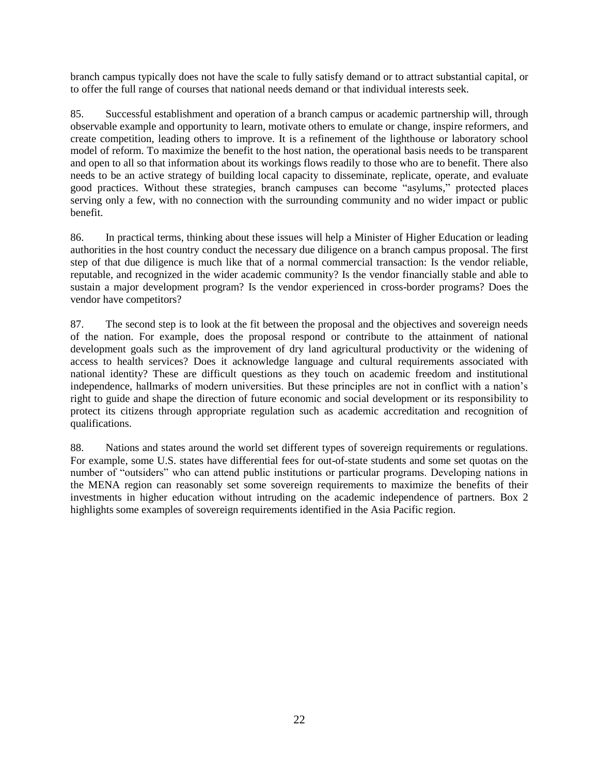branch campus typically does not have the scale to fully satisfy demand or to attract substantial capital, or to offer the full range of courses that national needs demand or that individual interests seek.

85. Successful establishment and operation of a branch campus or academic partnership will, through observable example and opportunity to learn, motivate others to emulate or change, inspire reformers, and create competition, leading others to improve. It is a refinement of the lighthouse or laboratory school model of reform. To maximize the benefit to the host nation, the operational basis needs to be transparent and open to all so that information about its workings flows readily to those who are to benefit. There also needs to be an active strategy of building local capacity to disseminate, replicate, operate, and evaluate good practices. Without these strategies, branch campuses can become "asylums," protected places serving only a few, with no connection with the surrounding community and no wider impact or public benefit.

86. In practical terms, thinking about these issues will help a Minister of Higher Education or leading authorities in the host country conduct the necessary due diligence on a branch campus proposal. The first step of that due diligence is much like that of a normal commercial transaction: Is the vendor reliable, reputable, and recognized in the wider academic community? Is the vendor financially stable and able to sustain a major development program? Is the vendor experienced in cross-border programs? Does the vendor have competitors?

87. The second step is to look at the fit between the proposal and the objectives and sovereign needs of the nation. For example, does the proposal respond or contribute to the attainment of national development goals such as the improvement of dry land agricultural productivity or the widening of access to health services? Does it acknowledge language and cultural requirements associated with national identity? These are difficult questions as they touch on academic freedom and institutional independence, hallmarks of modern universities. But these principles are not in conflict with a nation"s right to guide and shape the direction of future economic and social development or its responsibility to protect its citizens through appropriate regulation such as academic accreditation and recognition of qualifications.

88. Nations and states around the world set different types of sovereign requirements or regulations. For example, some U.S. states have differential fees for out-of-state students and some set quotas on the number of "outsiders" who can attend public institutions or particular programs. Developing nations in the MENA region can reasonably set some sovereign requirements to maximize the benefits of their investments in higher education without intruding on the academic independence of partners. Box 2 highlights some examples of sovereign requirements identified in the Asia Pacific region.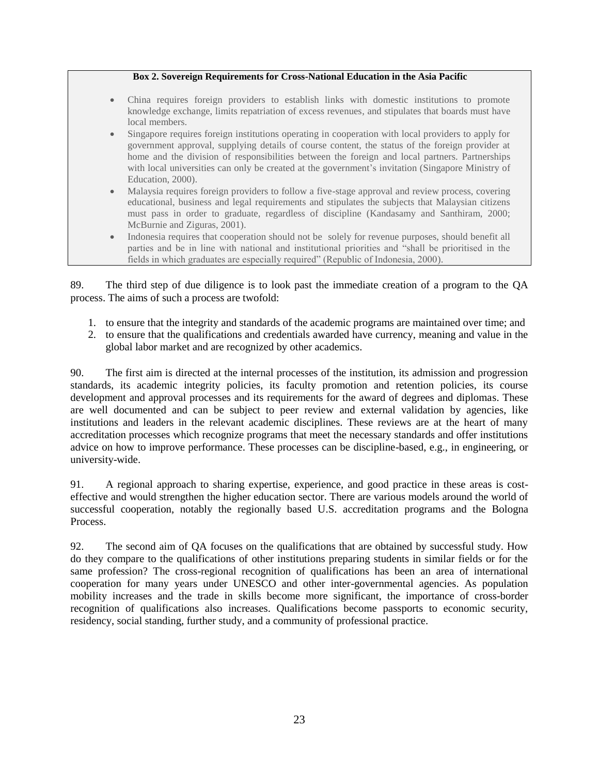#### **Box 2. Sovereign Requirements for Cross-National Education in the Asia Pacific**

- China requires foreign providers to establish links with domestic institutions to promote knowledge exchange, limits repatriation of excess revenues, and stipulates that boards must have local members.
- Singapore requires foreign institutions operating in cooperation with local providers to apply for government approval, supplying details of course content, the status of the foreign provider at home and the division of responsibilities between the foreign and local partners. Partnerships with local universities can only be created at the government's invitation (Singapore Ministry of Education, 2000).
- Malaysia requires foreign providers to follow a five-stage approval and review process, covering educational, business and legal requirements and stipulates the subjects that Malaysian citizens must pass in order to graduate, regardless of discipline (Kandasamy and Santhiram, 2000; McBurnie and Ziguras, 2001).
- Indonesia requires that cooperation should not be solely for revenue purposes, should benefit all parties and be in line with national and institutional priorities and "shall be prioritised in the fields in which graduates are especially required" (Republic of Indonesia, 2000).

89. The third step of due diligence is to look past the immediate creation of a program to the QA process. The aims of such a process are twofold:

- 1. to ensure that the integrity and standards of the academic programs are maintained over time; and
- 2. to ensure that the qualifications and credentials awarded have currency, meaning and value in the global labor market and are recognized by other academics.

90. The first aim is directed at the internal processes of the institution, its admission and progression standards, its academic integrity policies, its faculty promotion and retention policies, its course development and approval processes and its requirements for the award of degrees and diplomas. These are well documented and can be subject to peer review and external validation by agencies, like institutions and leaders in the relevant academic disciplines. These reviews are at the heart of many accreditation processes which recognize programs that meet the necessary standards and offer institutions advice on how to improve performance. These processes can be discipline-based, e.g., in engineering, or university-wide.

91. A regional approach to sharing expertise, experience, and good practice in these areas is costeffective and would strengthen the higher education sector. There are various models around the world of successful cooperation, notably the regionally based U.S. accreditation programs and the Bologna Process.

92. The second aim of QA focuses on the qualifications that are obtained by successful study. How do they compare to the qualifications of other institutions preparing students in similar fields or for the same profession? The cross-regional recognition of qualifications has been an area of international cooperation for many years under UNESCO and other inter-governmental agencies. As population mobility increases and the trade in skills become more significant, the importance of cross-border recognition of qualifications also increases. Qualifications become passports to economic security, residency, social standing, further study, and a community of professional practice.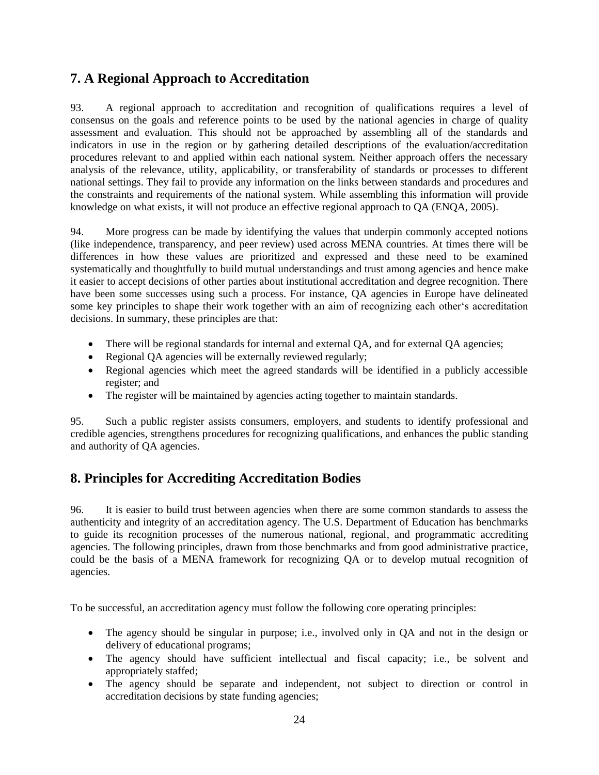## <span id="page-25-0"></span>**7. A Regional Approach to Accreditation**

93. A regional approach to accreditation and recognition of qualifications requires a level of consensus on the goals and reference points to be used by the national agencies in charge of quality assessment and evaluation. This should not be approached by assembling all of the standards and indicators in use in the region or by gathering detailed descriptions of the evaluation/accreditation procedures relevant to and applied within each national system. Neither approach offers the necessary analysis of the relevance, utility, applicability, or transferability of standards or processes to different national settings. They fail to provide any information on the links between standards and procedures and the constraints and requirements of the national system. While assembling this information will provide knowledge on what exists, it will not produce an effective regional approach to QA (ENQA, 2005).

94. More progress can be made by identifying the values that underpin commonly accepted notions (like independence, transparency, and peer review) used across MENA countries. At times there will be differences in how these values are prioritized and expressed and these need to be examined systematically and thoughtfully to build mutual understandings and trust among agencies and hence make it easier to accept decisions of other parties about institutional accreditation and degree recognition. There have been some successes using such a process. For instance, QA agencies in Europe have delineated some key principles to shape their work together with an aim of recognizing each other's accreditation decisions. In summary, these principles are that:

- There will be regional standards for internal and external QA, and for external QA agencies;
- Regional OA agencies will be externally reviewed regularly;
- Regional agencies which meet the agreed standards will be identified in a publicly accessible register; and
- The register will be maintained by agencies acting together to maintain standards.

95. Such a public register assists consumers, employers, and students to identify professional and credible agencies, strengthens procedures for recognizing qualifications, and enhances the public standing and authority of QA agencies.

## <span id="page-25-1"></span>**8. Principles for Accrediting Accreditation Bodies**

96. It is easier to build trust between agencies when there are some common standards to assess the authenticity and integrity of an accreditation agency. The U.S. Department of Education has benchmarks to guide its recognition processes of the numerous national, regional, and programmatic accrediting agencies. The following principles, drawn from those benchmarks and from good administrative practice, could be the basis of a MENA framework for recognizing QA or to develop mutual recognition of agencies.

To be successful, an accreditation agency must follow the following core operating principles:

- The agency should be singular in purpose; i.e., involved only in QA and not in the design or delivery of educational programs;
- The agency should have sufficient intellectual and fiscal capacity; i.e., be solvent and appropriately staffed;
- The agency should be separate and independent, not subject to direction or control in accreditation decisions by state funding agencies;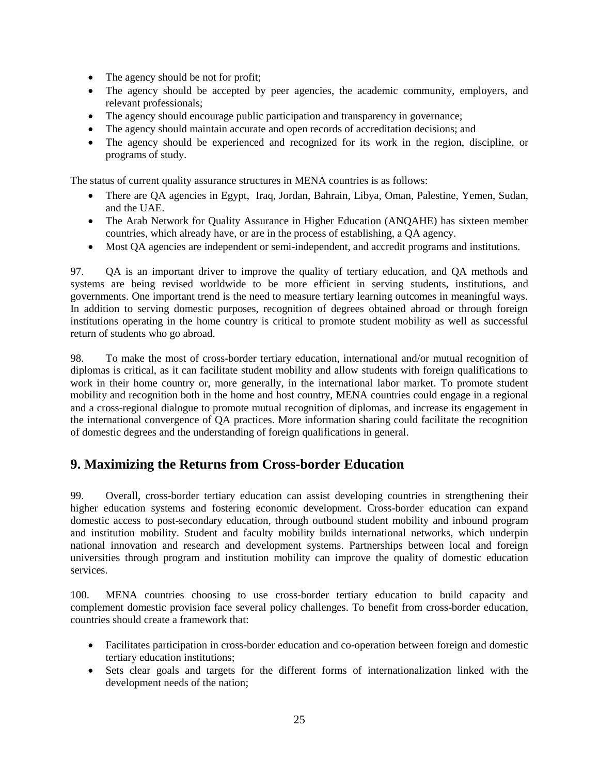- The agency should be not for profit;
- The agency should be accepted by peer agencies, the academic community, employers, and relevant professionals;
- The agency should encourage public participation and transparency in governance;
- The agency should maintain accurate and open records of accreditation decisions; and
- The agency should be experienced and recognized for its work in the region, discipline, or programs of study.

The status of current quality assurance structures in MENA countries is as follows:

- There are QA agencies in Egypt, Iraq, Jordan, Bahrain, Libya, Oman, Palestine, Yemen, Sudan, and the UAE.
- The Arab Network for Quality Assurance in Higher Education (ANQAHE) has sixteen member countries, which already have, or are in the process of establishing, a QA agency.
- Most QA agencies are independent or semi-independent, and accredit programs and institutions.

97. QA is an important driver to improve the quality of tertiary education, and QA methods and systems are being revised worldwide to be more efficient in serving students, institutions, and governments. One important trend is the need to measure tertiary learning outcomes in meaningful ways. In addition to serving domestic purposes, recognition of degrees obtained abroad or through foreign institutions operating in the home country is critical to promote student mobility as well as successful return of students who go abroad.

98. To make the most of cross-border tertiary education, international and/or mutual recognition of diplomas is critical, as it can facilitate student mobility and allow students with foreign qualifications to work in their home country or, more generally, in the international labor market. To promote student mobility and recognition both in the home and host country, MENA countries could engage in a regional and a cross-regional dialogue to promote mutual recognition of diplomas, and increase its engagement in the international convergence of QA practices. More information sharing could facilitate the recognition of domestic degrees and the understanding of foreign qualifications in general.

## <span id="page-26-0"></span>**9. Maximizing the Returns from Cross-border Education**

99. Overall, cross-border tertiary education can assist developing countries in strengthening their higher education systems and fostering economic development. Cross-border education can expand domestic access to post-secondary education, through outbound student mobility and inbound program and institution mobility. Student and faculty mobility builds international networks, which underpin national innovation and research and development systems. Partnerships between local and foreign universities through program and institution mobility can improve the quality of domestic education services.

100. MENA countries choosing to use cross-border tertiary education to build capacity and complement domestic provision face several policy challenges. To benefit from cross-border education, countries should create a framework that:

- Facilitates participation in cross-border education and co-operation between foreign and domestic tertiary education institutions;
- Sets clear goals and targets for the different forms of internationalization linked with the development needs of the nation;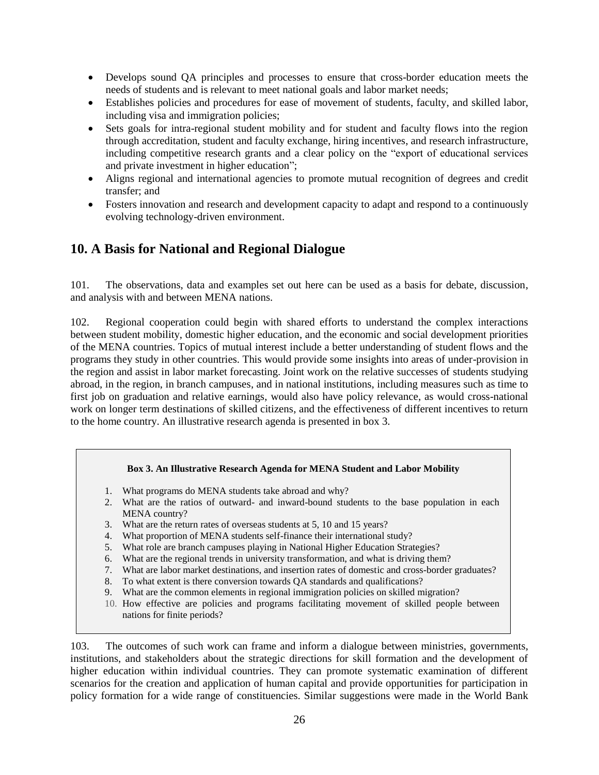- Develops sound QA principles and processes to ensure that cross-border education meets the needs of students and is relevant to meet national goals and labor market needs;
- Establishes policies and procedures for ease of movement of students, faculty, and skilled labor, including visa and immigration policies;
- Sets goals for intra-regional student mobility and for student and faculty flows into the region through accreditation, student and faculty exchange, hiring incentives, and research infrastructure, including competitive research grants and a clear policy on the "export of educational services and private investment in higher education";
- Aligns regional and international agencies to promote mutual recognition of degrees and credit transfer; and
- Fosters innovation and research and development capacity to adapt and respond to a continuously evolving technology-driven environment.

## <span id="page-27-0"></span>**10. A Basis for National and Regional Dialogue**

101. The observations, data and examples set out here can be used as a basis for debate, discussion, and analysis with and between MENA nations.

102. Regional cooperation could begin with shared efforts to understand the complex interactions between student mobility, domestic higher education, and the economic and social development priorities of the MENA countries. Topics of mutual interest include a better understanding of student flows and the programs they study in other countries. This would provide some insights into areas of under-provision in the region and assist in labor market forecasting. Joint work on the relative successes of students studying abroad, in the region, in branch campuses, and in national institutions, including measures such as time to first job on graduation and relative earnings, would also have policy relevance, as would cross-national work on longer term destinations of skilled citizens, and the effectiveness of different incentives to return to the home country. An illustrative research agenda is presented in box 3.

#### **Box 3. An Illustrative Research Agenda for MENA Student and Labor Mobility**

- 1. What programs do MENA students take abroad and why?
- 2. What are the ratios of outward- and inward-bound students to the base population in each MENA country?
- 3. What are the return rates of overseas students at 5, 10 and 15 years?
- 4. What proportion of MENA students self-finance their international study?
- 5. What role are branch campuses playing in National Higher Education Strategies?
- 6. What are the regional trends in university transformation, and what is driving them?
- 7. What are labor market destinations, and insertion rates of domestic and cross-border graduates?
- 8. To what extent is there conversion towards QA standards and qualifications?
- 9. What are the common elements in regional immigration policies on skilled migration?
- 10. How effective are policies and programs facilitating movement of skilled people between nations for finite periods?

103. The outcomes of such work can frame and inform a dialogue between ministries, governments, institutions, and stakeholders about the strategic directions for skill formation and the development of higher education within individual countries. They can promote systematic examination of different scenarios for the creation and application of human capital and provide opportunities for participation in policy formation for a wide range of constituencies. Similar suggestions were made in the World Bank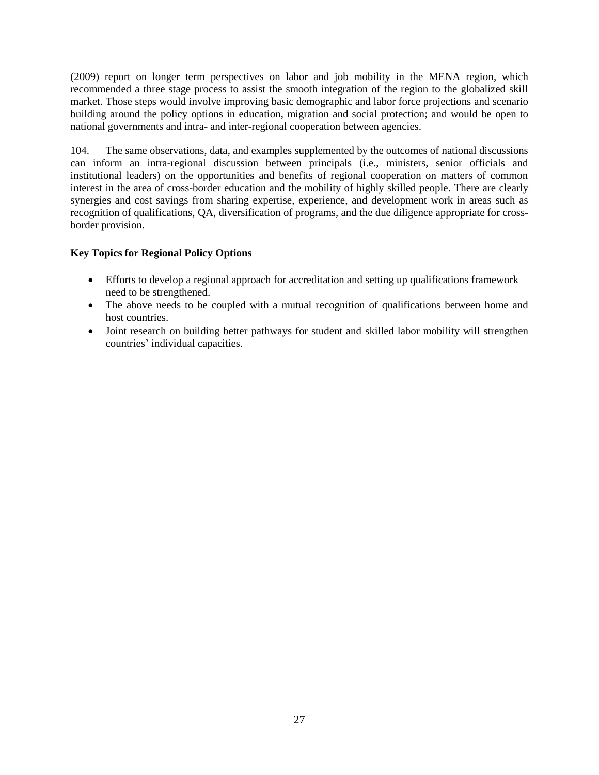(2009) report on longer term perspectives on labor and job mobility in the MENA region, which recommended a three stage process to assist the smooth integration of the region to the globalized skill market. Those steps would involve improving basic demographic and labor force projections and scenario building around the policy options in education, migration and social protection; and would be open to national governments and intra- and inter-regional cooperation between agencies.

104. The same observations, data, and examples supplemented by the outcomes of national discussions can inform an intra-regional discussion between principals (i.e., ministers, senior officials and institutional leaders) on the opportunities and benefits of regional cooperation on matters of common interest in the area of cross-border education and the mobility of highly skilled people. There are clearly synergies and cost savings from sharing expertise, experience, and development work in areas such as recognition of qualifications, QA, diversification of programs, and the due diligence appropriate for crossborder provision.

#### **Key Topics for Regional Policy Options**

- Efforts to develop a regional approach for accreditation and setting up qualifications framework need to be strengthened.
- The above needs to be coupled with a mutual recognition of qualifications between home and host countries.
- Joint research on building better pathways for student and skilled labor mobility will strengthen countries' individual capacities.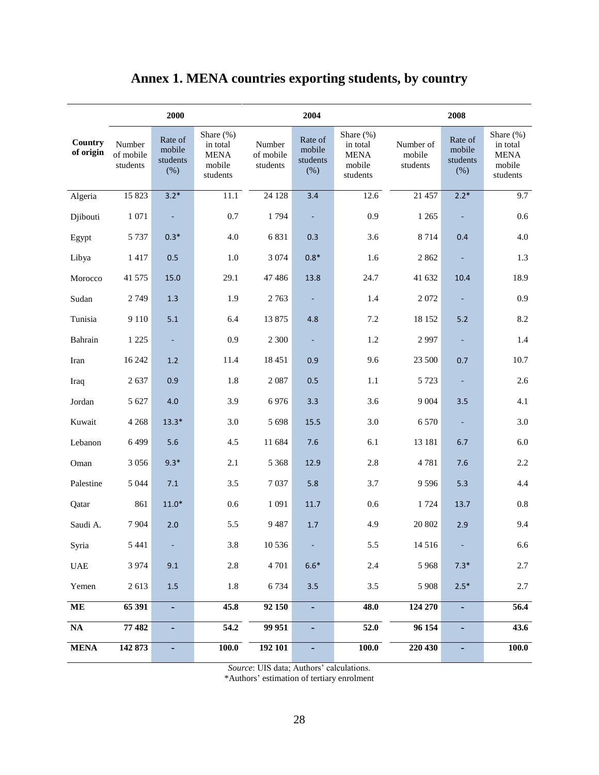<span id="page-29-0"></span>

|                      |                                 | 2000                                    |                                                               | 2004                            |                                         |                                                            | 2008                            |                                       |                                                            |
|----------------------|---------------------------------|-----------------------------------------|---------------------------------------------------------------|---------------------------------|-----------------------------------------|------------------------------------------------------------|---------------------------------|---------------------------------------|------------------------------------------------------------|
| Country<br>of origin | Number<br>of mobile<br>students | Rate of<br>mobile<br>students<br>$(\%)$ | Share $(\%)$<br>in total<br><b>MENA</b><br>mobile<br>students | Number<br>of mobile<br>students | Rate of<br>mobile<br>students<br>$(\%)$ | Share (%)<br>in total<br><b>MENA</b><br>mobile<br>students | Number of<br>mobile<br>students | Rate of<br>mobile<br>students<br>(% ) | Share (%)<br>in total<br><b>MENA</b><br>mobile<br>students |
| Algeria              | 15 823                          | $3.2*$                                  | $11.1$                                                        | 24 1 28                         | 3.4                                     | 12.6                                                       | 21 457                          | $2.2*$                                | 9.7                                                        |
| Djibouti             | 1 0 7 1                         |                                         | 0.7                                                           | 1794                            | $\blacksquare$                          | 0.9                                                        | 1 2 6 5                         | $\blacksquare$                        | 0.6                                                        |
| Egypt                | 5 7 3 7                         | $0.3*$                                  | 4.0                                                           | 6831                            | 0.3                                     | 3.6                                                        | 8714                            | 0.4                                   | 4.0                                                        |
| Libya                | 1417                            | 0.5                                     | 1.0                                                           | 3 0 7 4                         | $0.8*$                                  | 1.6                                                        | 2 8 6 2                         | $\blacksquare$                        | 1.3                                                        |
| Morocco              | 41 575                          | 15.0                                    | 29.1                                                          | 47486                           | 13.8                                    | 24.7                                                       | 41 632                          | 10.4                                  | 18.9                                                       |
| Sudan                | 2 7 4 9                         | 1.3                                     | 1.9                                                           | 2763                            | $\overline{\phantom{a}}$                | 1.4                                                        | 2072                            | $\overline{\phantom{a}}$              | 0.9                                                        |
| Tunisia              | 9 1 1 0                         | 5.1                                     | 6.4                                                           | 13875                           | 4.8                                     | 7.2                                                        | 18 15 2                         | $5.2$                                 | 8.2                                                        |
| Bahrain              | 1 2 2 5                         | $\overline{\phantom{a}}$                | 0.9                                                           | 2 3 0 0                         | ÷,                                      | $1.2\,$                                                    | 2997                            | $\blacksquare$                        | 1.4                                                        |
| Iran                 | 16 24 2                         | $1.2$                                   | 11.4                                                          | 18451                           | 0.9                                     | 9.6                                                        | 23 500                          | 0.7                                   | 10.7                                                       |
| Iraq                 | 2 6 3 7                         | 0.9                                     | 1.8                                                           | 2 0 8 7                         | 0.5                                     | $1.1\,$                                                    | 5 7 2 3                         | $\overline{\phantom{a}}$              | 2.6                                                        |
| Jordan               | 5 627                           | 4.0                                     | 3.9                                                           | 6976                            | 3.3                                     | 3.6                                                        | 9 0 0 4                         | 3.5                                   | 4.1                                                        |
| Kuwait               | 4 2 6 8                         | $13.3*$                                 | 3.0                                                           | 5 6 9 8                         | 15.5                                    | 3.0                                                        | 6 5 7 0                         | $\blacksquare$                        | 3.0                                                        |
| Lebanon              | 6499                            | 5.6                                     | 4.5                                                           | 11 684                          | 7.6                                     | 6.1                                                        | 13 18 1                         | 6.7                                   | $6.0\,$                                                    |
| Oman                 | 3 0 5 6                         | $9.3*$                                  | 2.1                                                           | 5 3 6 8                         | 12.9                                    | 2.8                                                        | 4781                            | 7.6                                   | 2.2                                                        |
| Palestine            | 5 0 4 4                         | 7.1                                     | 3.5                                                           | 7037                            | 5.8                                     | 3.7                                                        | 9 5 9 6                         | 5.3                                   | 4.4                                                        |
| Qatar                | 861                             | $11.0*$                                 | 0.6                                                           | 1 0 9 1                         | 11.7                                    | 0.6                                                        | 1724                            | 13.7                                  | $0.8\,$                                                    |
| Saudi A.             | 7 9 0 4                         | 2.0                                     | 5.5                                                           | 9487                            | $1.7\,$                                 | 4.9                                                        | 20 802                          | 2.9                                   | 9.4                                                        |
| Syria                | 5 4 4 1                         |                                         | 3.8                                                           | 10 536                          |                                         | 5.5                                                        | 14516                           |                                       | 6.6                                                        |
| <b>UAE</b>           | 3 9 7 4                         | 9.1                                     | $2.8\,$                                                       | 4 7 0 1                         | $6.6*$                                  | 2.4                                                        | 5 9 6 8                         | $7.3*$                                | 2.7                                                        |
| Yemen                | 2613                            | $1.5$                                   | $1.8\,$                                                       | 6734                            | 3.5                                     | 3.5                                                        | 5 9 0 8                         | $2.5*$                                | 2.7                                                        |
| $\mathbf{ME}$        | 65 391                          | $\blacksquare$                          | 45.8                                                          | 92 150                          | ä,                                      | 48.0                                                       | 124 270                         | ÷,                                    | 56.4                                                       |
| $\mathbf{NA}$        | 77482                           | $\blacksquare$                          | 54.2                                                          | 99 951                          | ä,                                      | 52.0                                                       | 96 154                          | ÷,                                    | 43.6                                                       |
| <b>MENA</b>          | 142 873                         | $\blacksquare$                          | 100.0                                                         | 192 101                         | $\blacksquare$                          | $100.0$                                                    | 220 430                         | ÷                                     | 100.0                                                      |

# **Annex 1. MENA countries exporting students, by country**

*Source*: UIS data; Authors' calculations.

\*Authors" estimation of tertiary enrolment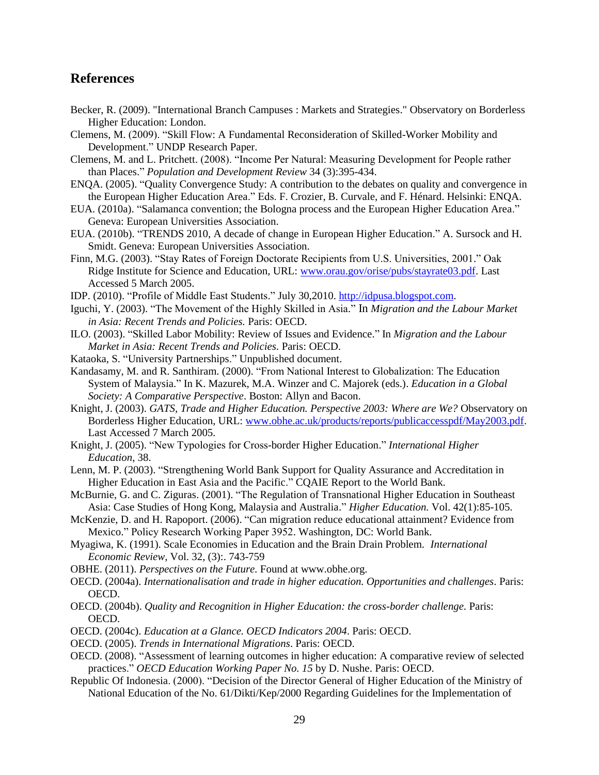### <span id="page-30-0"></span>**References**

- Becker, R. (2009). "International Branch Campuses : Markets and Strategies." Observatory on Borderless Higher Education: London.
- Clemens, M. (2009). "Skill Flow: A Fundamental Reconsideration of Skilled-Worker Mobility and Development." UNDP Research Paper.
- Clemens, M. and L. Pritchett. (2008). "Income Per Natural: Measuring Development for People rather than Places." *Population and Development Review* 34 (3):395-434.
- ENQA. (2005). "Quality Convergence Study: A contribution to the debates on quality and convergence in the European Higher Education Area." Eds. F. Crozier, B. Curvale, and F. Hénard. Helsinki: ENQA.
- EUA. (2010a). "Salamanca convention; the Bologna process and the European Higher Education Area." Geneva: European Universities Association.
- EUA. (2010b). "TRENDS 2010, A decade of change in European Higher Education." A. Sursock and H. Smidt. Geneva: European Universities Association.
- Finn, M.G. (2003). "Stay Rates of Foreign Doctorate Recipients from U.S. Universities, 2001." Oak Ridge Institute for Science and Education, URL: [www.orau.gov/orise/pubs/stayrate03.pdf.](http://www.orau.gov/orise/pubs/stayrate03.pdf) Last Accessed 5 March 2005.
- IDP. (2010). "Profile of Middle East Students." July 30,2010. [http://idpusa.blogspot.com.](http://idpusa.blogspot.com/)
- Iguchi, Y. (2003). "The Movement of the Highly Skilled in Asia." In *Migration and the Labour Market in Asia: Recent Trends and Policies.* Paris: OECD.
- ILO. (2003). "Skilled Labor Mobility: Review of Issues and Evidence." In *Migration and the Labour Market in Asia: Recent Trends and Policies.* Paris: OECD.
- Kataoka, S. "University Partnerships." Unpublished document.
- Kandasamy, M. and R. Santhiram. (2000). "From National Interest to Globalization: The Education System of Malaysia." In K. Mazurek, M.A. Winzer and C. Majorek (eds.). *Education in a Global Society: A Comparative Perspective*. Boston: Allyn and Bacon.
- Knight, J. (2003). *GATS, Trade and Higher Education. Perspective 2003: Where are We?* Observatory on Borderless Higher Education, URL: [www.obhe.ac.uk/products/reports/publicaccesspdf/May2003.pdf.](http://www.obhe.ac.uk/products/reports/publicaccesspdf/May2003.pdf) Last Accessed 7 March 2005.
- Knight, J. (2005). "New Typologies for Cross-border Higher Education." *International Higher Education*, 38.
- Lenn, M. P. (2003). "Strengthening World Bank Support for Quality Assurance and Accreditation in Higher Education in East Asia and the Pacific." CQAIE Report to the World Bank.
- McBurnie, G. and C. Ziguras. (2001). "The Regulation of Transnational Higher Education in Southeast Asia: Case Studies of Hong Kong, Malaysia and Australia." *Higher Education.* Vol. 42(1):85-105.
- McKenzie, D. and H. Rapoport. (2006). "Can migration reduce educational attainment? Evidence from Mexico." Policy Research Working Paper 3952. Washington, DC: World Bank.
- Myagiwa, K. (1991). Scale Economies in Education and the Brain Drain Problem. *International Economic Review,* Vol. 32, (3):. 743-759
- OBHE. (2011). *Perspectives on the Future.* Found at www.obhe.org.
- OECD. (2004a). *Internationalisation and trade in higher education. Opportunities and challenges.* Paris: OECD.
- OECD. (2004b). *Quality and Recognition in Higher Education: the cross-border challenge.* Paris: OECD.
- OECD. (2004c). *Education at a Glance. OECD Indicators 2004*. Paris: OECD.
- OECD. (2005). *Trends in International Migrations*. Paris: OECD.
- OECD. (2008). "Assessment of learning outcomes in higher education: A comparative review of selected practices." *OECD Education Working Paper No. 15* by D. Nushe. Paris: OECD.
- Republic Of Indonesia. (2000). "Decision of the Director General of Higher Education of the Ministry of National Education of the No. 61/Dikti/Kep/2000 Regarding Guidelines for the Implementation of